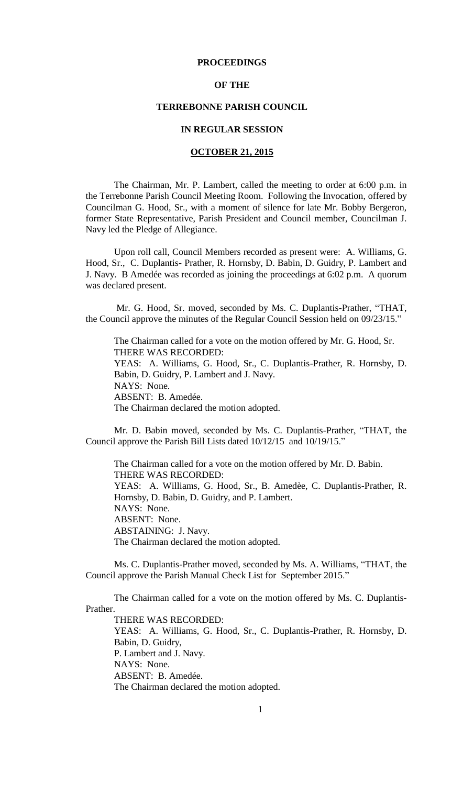#### **PROCEEDINGS**

### **OF THE**

#### **TERREBONNE PARISH COUNCIL**

# **IN REGULAR SESSION**

### **OCTOBER 21, 2015**

The Chairman, Mr. P. Lambert, called the meeting to order at 6:00 p.m. in the Terrebonne Parish Council Meeting Room. Following the Invocation, offered by Councilman G. Hood, Sr., with a moment of silence for late Mr. Bobby Bergeron, former State Representative, Parish President and Council member, Councilman J. Navy led the Pledge of Allegiance.

Upon roll call, Council Members recorded as present were: A. Williams, G. Hood, Sr., C. Duplantis- Prather, R. Hornsby, D. Babin, D. Guidry, P. Lambert and J. Navy. B Amedée was recorded as joining the proceedings at 6:02 p.m. A quorum was declared present.

Mr. G. Hood, Sr. moved, seconded by Ms. C. Duplantis-Prather, "THAT, the Council approve the minutes of the Regular Council Session held on 09/23/15."

The Chairman called for a vote on the motion offered by Mr. G. Hood, Sr. THERE WAS RECORDED: YEAS: A. Williams, G. Hood, Sr., C. Duplantis-Prather, R. Hornsby, D. Babin, D. Guidry, P. Lambert and J. Navy. NAYS: None. ABSENT: B. Amedée. The Chairman declared the motion adopted.

Mr. D. Babin moved, seconded by Ms. C. Duplantis-Prather, "THAT, the Council approve the Parish Bill Lists dated 10/12/15 and 10/19/15."

The Chairman called for a vote on the motion offered by Mr. D. Babin. THERE WAS RECORDED: YEAS: A. Williams, G. Hood, Sr., B. Amedèe, C. Duplantis-Prather, R. Hornsby, D. Babin, D. Guidry, and P. Lambert. NAYS: None. ABSENT: None. ABSTAINING: J. Navy. The Chairman declared the motion adopted.

Ms. C. Duplantis-Prather moved, seconded by Ms. A. Williams, "THAT, the Council approve the Parish Manual Check List for September 2015."

The Chairman called for a vote on the motion offered by Ms. C. Duplantis-Prather.

THERE WAS RECORDED: YEAS: A. Williams, G. Hood, Sr., C. Duplantis-Prather, R. Hornsby, D. Babin, D. Guidry, P. Lambert and J. Navy. NAYS: None. ABSENT: B. Amedée. The Chairman declared the motion adopted.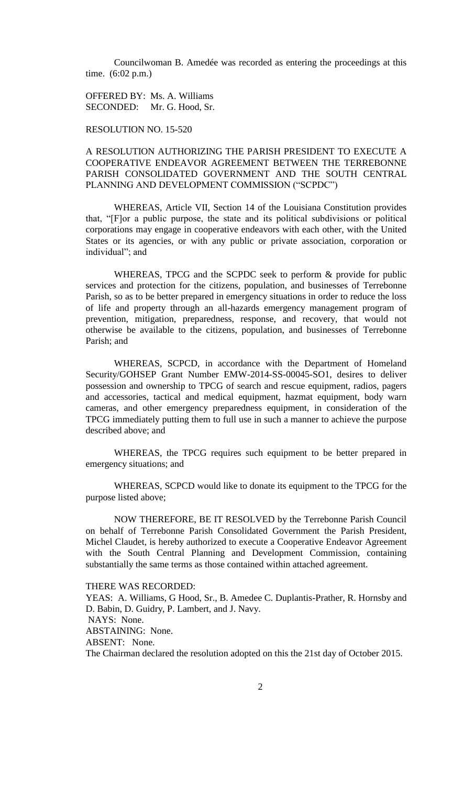Councilwoman B. Amedée was recorded as entering the proceedings at this time. (6:02 p.m.)

OFFERED BY: Ms. A. Williams SECONDED: Mr. G. Hood, Sr.

RESOLUTION NO. 15-520

## A RESOLUTION AUTHORIZING THE PARISH PRESIDENT TO EXECUTE A COOPERATIVE ENDEAVOR AGREEMENT BETWEEN THE TERREBONNE PARISH CONSOLIDATED GOVERNMENT AND THE SOUTH CENTRAL PLANNING AND DEVELOPMENT COMMISSION ("SCPDC")

WHEREAS, Article VII, Section 14 of the Louisiana Constitution provides that, "[F]or a public purpose, the state and its political subdivisions or political corporations may engage in cooperative endeavors with each other, with the United States or its agencies, or with any public or private association, corporation or individual"; and

WHEREAS, TPCG and the SCPDC seek to perform  $\&$  provide for public services and protection for the citizens, population, and businesses of Terrebonne Parish, so as to be better prepared in emergency situations in order to reduce the loss of life and property through an all-hazards emergency management program of prevention, mitigation, preparedness, response, and recovery, that would not otherwise be available to the citizens, population, and businesses of Terrebonne Parish; and

WHEREAS, SCPCD, in accordance with the Department of Homeland Security/GOHSEP Grant Number EMW-2014-SS-00045-SO1, desires to deliver possession and ownership to TPCG of search and rescue equipment, radios, pagers and accessories, tactical and medical equipment, hazmat equipment, body warn cameras, and other emergency preparedness equipment, in consideration of the TPCG immediately putting them to full use in such a manner to achieve the purpose described above; and

WHEREAS, the TPCG requires such equipment to be better prepared in emergency situations; and

WHEREAS, SCPCD would like to donate its equipment to the TPCG for the purpose listed above;

NOW THEREFORE, BE IT RESOLVED by the Terrebonne Parish Council on behalf of Terrebonne Parish Consolidated Government the Parish President, Michel Claudet, is hereby authorized to execute a Cooperative Endeavor Agreement with the South Central Planning and Development Commission, containing substantially the same terms as those contained within attached agreement.

THERE WAS RECORDED: YEAS: A. Williams, G Hood, Sr., B. Amedee C. Duplantis-Prather, R. Hornsby and D. Babin, D. Guidry, P. Lambert, and J. Navy. NAYS: None. ABSTAINING: None. ABSENT: None. The Chairman declared the resolution adopted on this the 21st day of October 2015.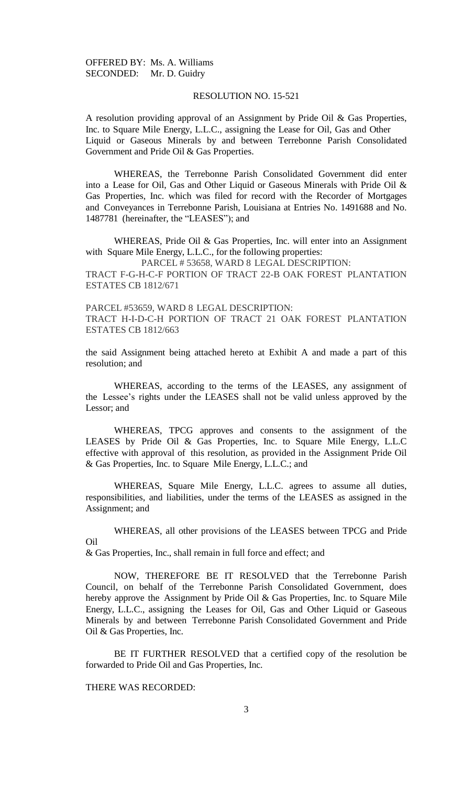#### RESOLUTION NO. 15-521

A resolution providing approval of an Assignment by Pride Oil & Gas Properties, Inc. to Square Mile Energy, L.L.C., assigning the Lease for Oil, Gas and Other Liquid or Gaseous Minerals by and between Terrebonne Parish Consolidated Government and Pride Oil & Gas Properties.

WHEREAS, the Terrebonne Parish Consolidated Government did enter into a Lease for Oil, Gas and Other Liquid or Gaseous Minerals with Pride Oil & Gas Properties, Inc. which was filed for record with the Recorder of Mortgages and Conveyances in Terrebonne Parish, Louisiana at Entries No. 1491688 and No. 1487781 (hereinafter, the "LEASES"); and

WHEREAS, Pride Oil & Gas Properties, Inc. will enter into an Assignment with Square Mile Energy, L.L.C., for the following properties:

PARCEL # 53658, WARD 8 LEGAL DESCRIPTION:

TRACT F-G-H-C-F PORTION OF TRACT 22-B OAK FOREST PLANTATION ESTATES CB 1812/671

PARCEL #53659, WARD 8 LEGAL DESCRIPTION: TRACT H-I-D-C-H PORTION OF TRACT 21 OAK FOREST PLANTATION ESTATES CB 1812/663

the said Assignment being attached hereto at Exhibit A and made a part of this resolution; and

WHEREAS, according to the terms of the LEASES, any assignment of the Lessee's rights under the LEASES shall not be valid unless approved by the Lessor; and

WHEREAS, TPCG approves and consents to the assignment of the LEASES by Pride Oil & Gas Properties, Inc. to Square Mile Energy, L.L.C effective with approval of this resolution, as provided in the Assignment Pride Oil & Gas Properties, Inc. to Square Mile Energy, L.L.C.; and

WHEREAS, Square Mile Energy, L.L.C. agrees to assume all duties, responsibilities, and liabilities, under the terms of the LEASES as assigned in the Assignment; and

WHEREAS, all other provisions of the LEASES between TPCG and Pride Oil

& Gas Properties, Inc., shall remain in full force and effect; and

NOW, THEREFORE BE IT RESOLVED that the Terrebonne Parish Council, on behalf of the Terrebonne Parish Consolidated Government, does hereby approve the Assignment by Pride Oil & Gas Properties, Inc. to Square Mile Energy, L.L.C., assigning the Leases for Oil, Gas and Other Liquid or Gaseous Minerals by and between Terrebonne Parish Consolidated Government and Pride Oil & Gas Properties, Inc.

BE IT FURTHER RESOLVED that a certified copy of the resolution be forwarded to Pride Oil and Gas Properties, Inc.

THERE WAS RECORDED: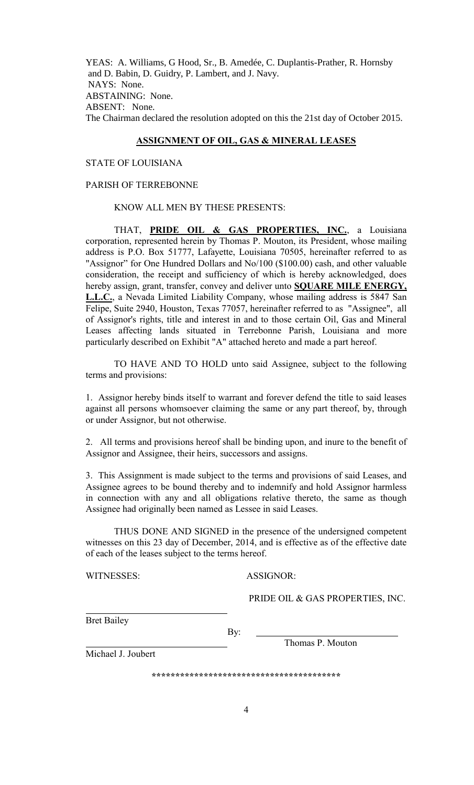YEAS: A. Williams, G Hood, Sr., B. Amedée, C. Duplantis-Prather, R. Hornsby and D. Babin, D. Guidry, P. Lambert, and J. Navy. NAYS: None. ABSTAINING: None. ABSENT: None. The Chairman declared the resolution adopted on this the 21st day of October 2015.

## **ASSIGNMENT OF OIL, GAS & MINERAL LEASES**

### STATE OF LOUISIANA

#### PARISH OF TERREBONNE

#### KNOW ALL MEN BY THESE PRESENTS:

THAT, **PRIDE OIL & GAS PROPERTIES, INC.**, a Louisiana corporation, represented herein by Thomas P. Mouton, its President, whose mailing address is P.O. Box 51777, Lafayette, Louisiana 70505, hereinafter referred to as "Assignor" for One Hundred Dollars and No/100 (\$100.00) cash, and other valuable consideration, the receipt and sufficiency of which is hereby acknowledged, does hereby assign, grant, transfer, convey and deliver unto **SQUARE MILE ENERGY, L.L.C.**, a Nevada Limited Liability Company, whose mailing address is 5847 San Felipe, Suite 2940, Houston, Texas 77057, hereinafter referred to as "Assignee", all of Assignor's rights, title and interest in and to those certain Oil, Gas and Mineral Leases affecting lands situated in Terrebonne Parish, Louisiana and more particularly described on Exhibit "A" attached hereto and made a part hereof.

TO HAVE AND TO HOLD unto said Assignee, subject to the following terms and provisions:

1. Assignor hereby binds itself to warrant and forever defend the title to said leases against all persons whomsoever claiming the same or any part thereof, by, through or under Assignor, but not otherwise.

2. All terms and provisions hereof shall be binding upon, and inure to the benefit of Assignor and Assignee, their heirs, successors and assigns.

3. This Assignment is made subject to the terms and provisions of said Leases, and Assignee agrees to be bound thereby and to indemnify and hold Assignor harmless in connection with any and all obligations relative thereto, the same as though Assignee had originally been named as Lessee in said Leases.

THUS DONE AND SIGNED in the presence of the undersigned competent witnesses on this 23 day of December, 2014, and is effective as of the effective date of each of the leases subject to the terms hereof.

WITNESSES: ASSIGNOR:

PRIDE OIL & GAS PROPERTIES, INC.

Bret Bailey

By:

i<br>L

Thomas P. Mouton

Michael J. Joubert

**\*\*\*\*\*\*\*\*\*\*\*\*\*\*\*\*\*\*\*\*\*\*\*\*\*\*\*\*\*\*\*\*\*\*\*\*\*\*\*\***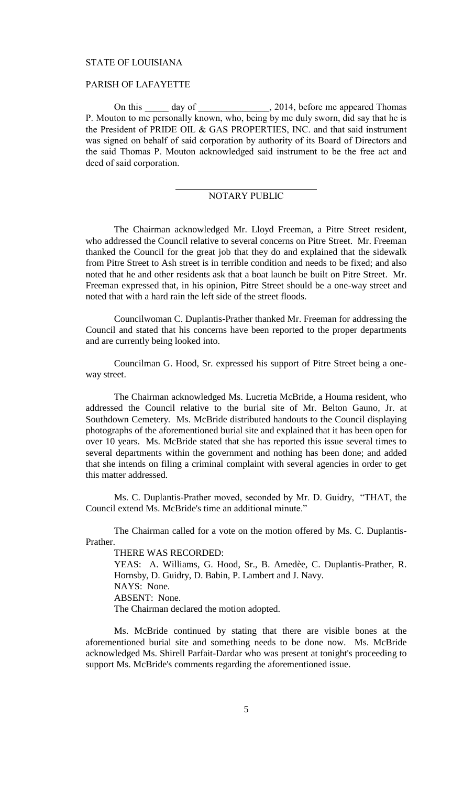#### STATE OF LOUISIANA

### PARISH OF LAFAYETTE

On this day of 2014, before me appeared Thomas P. Mouton to me personally known, who, being by me duly sworn, did say that he is the President of PRIDE OIL & GAS PROPERTIES, INC. and that said instrument was signed on behalf of said corporation by authority of its Board of Directors and the said Thomas P. Mouton acknowledged said instrument to be the free act and deed of said corporation.

## NOTARY PUBLIC

The Chairman acknowledged Mr. Lloyd Freeman, a Pitre Street resident, who addressed the Council relative to several concerns on Pitre Street. Mr. Freeman thanked the Council for the great job that they do and explained that the sidewalk from Pitre Street to Ash street is in terrible condition and needs to be fixed; and also noted that he and other residents ask that a boat launch be built on Pitre Street. Mr. Freeman expressed that, in his opinion, Pitre Street should be a one-way street and noted that with a hard rain the left side of the street floods.

Councilwoman C. Duplantis-Prather thanked Mr. Freeman for addressing the Council and stated that his concerns have been reported to the proper departments and are currently being looked into.

Councilman G. Hood, Sr. expressed his support of Pitre Street being a oneway street.

The Chairman acknowledged Ms. Lucretia McBride, a Houma resident, who addressed the Council relative to the burial site of Mr. Belton Gauno, Jr. at Southdown Cemetery. Ms. McBride distributed handouts to the Council displaying photographs of the aforementioned burial site and explained that it has been open for over 10 years. Ms. McBride stated that she has reported this issue several times to several departments within the government and nothing has been done; and added that she intends on filing a criminal complaint with several agencies in order to get this matter addressed.

Ms. C. Duplantis-Prather moved, seconded by Mr. D. Guidry, "THAT, the Council extend Ms. McBride's time an additional minute."

The Chairman called for a vote on the motion offered by Ms. C. Duplantis-Prather.

THERE WAS RECORDED:

YEAS: A. Williams, G. Hood, Sr., B. Amedèe, C. Duplantis-Prather, R. Hornsby, D. Guidry, D. Babin, P. Lambert and J. Navy. NAYS: None. ABSENT: None. The Chairman declared the motion adopted.

Ms. McBride continued by stating that there are visible bones at the aforementioned burial site and something needs to be done now. Ms. McBride acknowledged Ms. Shirell Parfait-Dardar who was present at tonight's proceeding to support Ms. McBride's comments regarding the aforementioned issue.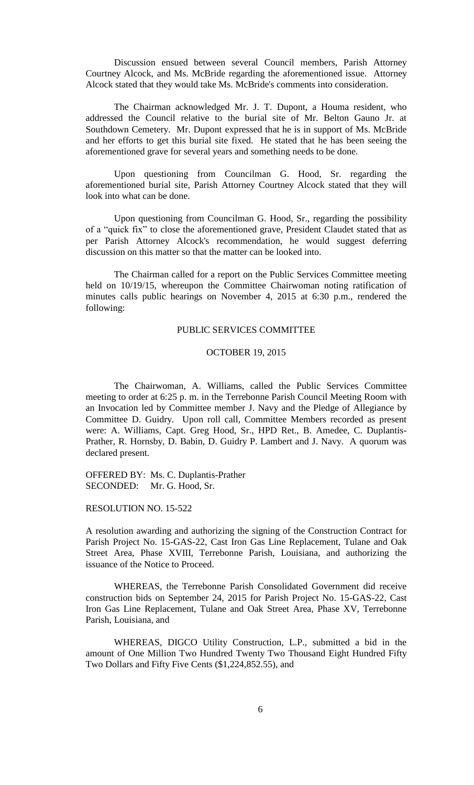Discussion ensued between several Council members, Parish Attorney Courtney Alcock, and Ms. McBride regarding the aforementioned issue. Attorney Alcock stated that they would take Ms. McBride's comments into consideration.

The Chairman acknowledged Mr. J. T. Dupont, a Houma resident, who addressed the Council relative to the burial site of Mr. Belton Gauno Jr. at Southdown Cemetery. Mr. Dupont expressed that he is in support of Ms. McBride and her efforts to get this burial site fixed. He stated that he has been seeing the aforementioned grave for several years and something needs to be done.

Upon questioning from Councilman G. Hood, Sr. regarding the aforementioned burial site, Parish Attorney Courtney Alcock stated that they will look into what can be done.

Upon questioning from Councilman G. Hood, Sr., regarding the possibility of a "quick fix" to close the aforementioned grave, President Claudet stated that as per Parish Attorney Alcock's recommendation, he would suggest deferring discussion on this matter so that the matter can be looked into.

The Chairman called for a report on the Public Services Committee meeting held on 10/19/15, whereupon the Committee Chairwoman noting ratification of minutes calls public hearings on November 4, 2015 at 6:30 p.m., rendered the following:

## PUBLIC SERVICES COMMITTEE

#### OCTOBER 19, 2015

The Chairwoman, A. Williams, called the Public Services Committee meeting to order at 6:25 p. m. in the Terrebonne Parish Council Meeting Room with an Invocation led by Committee member J. Navy and the Pledge of Allegiance by Committee D. Guidry. Upon roll call, Committee Members recorded as present were: A. Williams, Capt. Greg Hood, Sr., HPD Ret., B. Amedee, C. Duplantis-Prather, R. Hornsby, D. Babin, D. Guidry P. Lambert and J. Navy. A quorum was declared present.

OFFERED BY: Ms. C. Duplantis-Prather SECONDED: Mr. G. Hood, Sr.

## RESOLUTION NO. 15-522

A resolution awarding and authorizing the signing of the Construction Contract for Parish Project No. 15-GAS-22, Cast Iron Gas Line Replacement, Tulane and Oak Street Area, Phase XVIII, Terrebonne Parish, Louisiana, and authorizing the issuance of the Notice to Proceed.

WHEREAS, the Terrebonne Parish Consolidated Government did receive construction bids on September 24, 2015 for Parish Project No. 15-GAS-22, Cast Iron Gas Line Replacement, Tulane and Oak Street Area, Phase XV, Terrebonne Parish, Louisiana, and

WHEREAS, DIGCO Utility Construction, L.P., submitted a bid in the amount of One Million Two Hundred Twenty Two Thousand Eight Hundred Fifty Two Dollars and Fifty Five Cents (\$1,224,852.55), and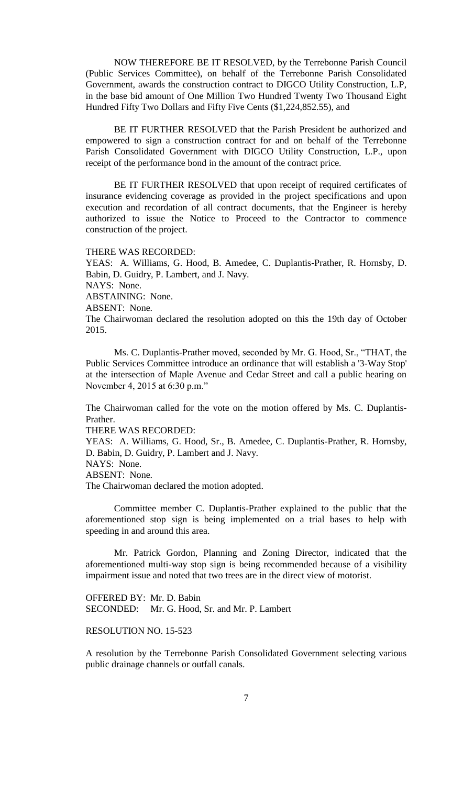NOW THEREFORE BE IT RESOLVED, by the Terrebonne Parish Council (Public Services Committee), on behalf of the Terrebonne Parish Consolidated Government, awards the construction contract to DIGCO Utility Construction, L.P, in the base bid amount of One Million Two Hundred Twenty Two Thousand Eight Hundred Fifty Two Dollars and Fifty Five Cents (\$1,224,852.55), and

BE IT FURTHER RESOLVED that the Parish President be authorized and empowered to sign a construction contract for and on behalf of the Terrebonne Parish Consolidated Government with DIGCO Utility Construction, L.P., upon receipt of the performance bond in the amount of the contract price.

BE IT FURTHER RESOLVED that upon receipt of required certificates of insurance evidencing coverage as provided in the project specifications and upon execution and recordation of all contract documents, that the Engineer is hereby authorized to issue the Notice to Proceed to the Contractor to commence construction of the project.

#### THERE WAS RECORDED:

YEAS: A. Williams, G. Hood, B. Amedee, C. Duplantis-Prather, R. Hornsby, D. Babin, D. Guidry, P. Lambert, and J. Navy. NAYS: None. ABSTAINING: None. ABSENT: None. The Chairwoman declared the resolution adopted on this the 19th day of October 2015.

Ms. C. Duplantis-Prather moved, seconded by Mr. G. Hood, Sr., "THAT, the Public Services Committee introduce an ordinance that will establish a '3-Way Stop' at the intersection of Maple Avenue and Cedar Street and call a public hearing on November 4, 2015 at 6:30 p.m."

The Chairwoman called for the vote on the motion offered by Ms. C. Duplantis-Prather.

THERE WAS RECORDED:

YEAS: A. Williams, G. Hood, Sr., B. Amedee, C. Duplantis-Prather, R. Hornsby, D. Babin, D. Guidry, P. Lambert and J. Navy.

NAYS: None.

ABSENT: None.

The Chairwoman declared the motion adopted.

Committee member C. Duplantis-Prather explained to the public that the aforementioned stop sign is being implemented on a trial bases to help with speeding in and around this area.

Mr. Patrick Gordon, Planning and Zoning Director, indicated that the aforementioned multi-way stop sign is being recommended because of a visibility impairment issue and noted that two trees are in the direct view of motorist.

OFFERED BY: Mr. D. Babin SECONDED: Mr. G. Hood, Sr. and Mr. P. Lambert

# RESOLUTION NO. 15-523

A resolution by the Terrebonne Parish Consolidated Government selecting various public drainage channels or outfall canals.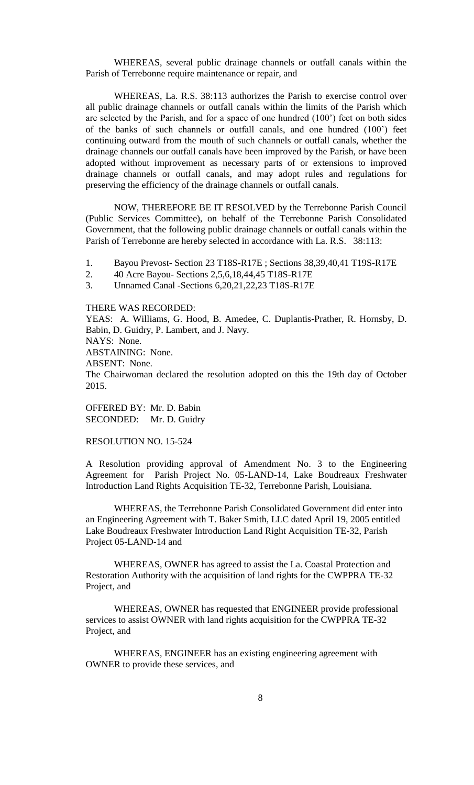WHEREAS, several public drainage channels or outfall canals within the Parish of Terrebonne require maintenance or repair, and

WHEREAS, La. R.S. 38:113 authorizes the Parish to exercise control over all public drainage channels or outfall canals within the limits of the Parish which are selected by the Parish, and for a space of one hundred (100') feet on both sides of the banks of such channels or outfall canals, and one hundred (100') feet continuing outward from the mouth of such channels or outfall canals, whether the drainage channels our outfall canals have been improved by the Parish, or have been adopted without improvement as necessary parts of or extensions to improved drainage channels or outfall canals, and may adopt rules and regulations for preserving the efficiency of the drainage channels or outfall canals.

NOW, THEREFORE BE IT RESOLVED by the Terrebonne Parish Council (Public Services Committee), on behalf of the Terrebonne Parish Consolidated Government, that the following public drainage channels or outfall canals within the Parish of Terrebonne are hereby selected in accordance with La. R.S. 38:113:

1. Bayou Prevost- Section 23 T18S-R17E ; Sections 38,39,40,41 T19S-R17E

2. 40 Acre Bayou- Sections 2,5,6,18,44,45 T18S-R17E

3. Unnamed Canal -Sections 6,20,21,22,23 T18S-R17E

### THERE WAS RECORDED:

YEAS: A. Williams, G. Hood, B. Amedee, C. Duplantis-Prather, R. Hornsby, D. Babin, D. Guidry, P. Lambert, and J. Navy. NAYS: None.

ABSTAINING: None.

ABSENT: None.

The Chairwoman declared the resolution adopted on this the 19th day of October 2015.

OFFERED BY: Mr. D. Babin SECONDED: Mr. D. Guidry

## RESOLUTION NO. 15-524

A Resolution providing approval of Amendment No. 3 to the Engineering Agreement for Parish Project No. 05-LAND-14, Lake Boudreaux Freshwater Introduction Land Rights Acquisition TE-32, Terrebonne Parish, Louisiana.

WHEREAS, the Terrebonne Parish Consolidated Government did enter into an Engineering Agreement with T. Baker Smith, LLC dated April 19, 2005 entitled Lake Boudreaux Freshwater Introduction Land Right Acquisition TE-32, Parish Project 05-LAND-14 and

WHEREAS, OWNER has agreed to assist the La. Coastal Protection and Restoration Authority with the acquisition of land rights for the CWPPRA TE-32 Project, and

WHEREAS, OWNER has requested that ENGINEER provide professional services to assist OWNER with land rights acquisition for the CWPPRA TE-32 Project, and

WHEREAS, ENGINEER has an existing engineering agreement with OWNER to provide these services, and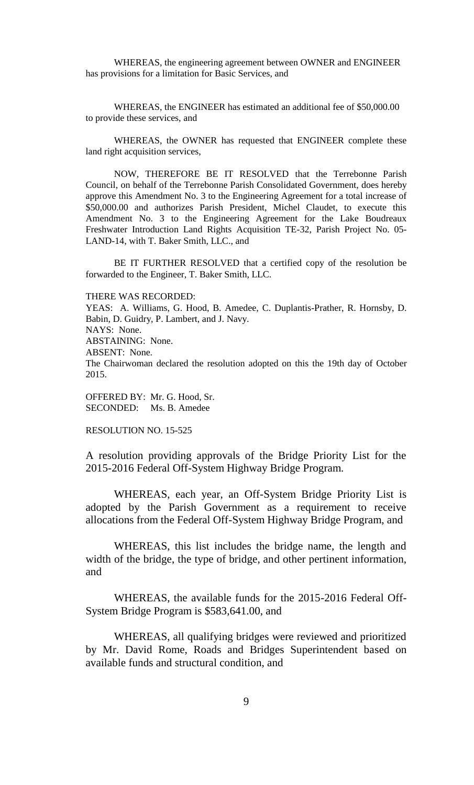WHEREAS, the engineering agreement between OWNER and ENGINEER has provisions for a limitation for Basic Services, and

WHEREAS, the ENGINEER has estimated an additional fee of \$50,000.00 to provide these services, and

WHEREAS, the OWNER has requested that ENGINEER complete these land right acquisition services,

NOW, THEREFORE BE IT RESOLVED that the Terrebonne Parish Council, on behalf of the Terrebonne Parish Consolidated Government, does hereby approve this Amendment No. 3 to the Engineering Agreement for a total increase of \$50,000.00 and authorizes Parish President, Michel Claudet, to execute this Amendment No. 3 to the Engineering Agreement for the Lake Boudreaux Freshwater Introduction Land Rights Acquisition TE-32, Parish Project No. 05- LAND-14, with T. Baker Smith, LLC., and

BE IT FURTHER RESOLVED that a certified copy of the resolution be forwarded to the Engineer, T. Baker Smith, LLC.

THERE WAS RECORDED:

YEAS: A. Williams, G. Hood, B. Amedee, C. Duplantis-Prather, R. Hornsby, D. Babin, D. Guidry, P. Lambert, and J. Navy. NAYS: None. ABSTAINING: None. ABSENT: None. The Chairwoman declared the resolution adopted on this the 19th day of October 2015.

OFFERED BY: Mr. G. Hood, Sr. SECONDED: Ms. B. Amedee

RESOLUTION NO. 15-525

A resolution providing approvals of the Bridge Priority List for the 2015-2016 Federal Off-System Highway Bridge Program.

WHEREAS, each year, an Off-System Bridge Priority List is adopted by the Parish Government as a requirement to receive allocations from the Federal Off-System Highway Bridge Program, and

WHEREAS, this list includes the bridge name, the length and width of the bridge, the type of bridge, and other pertinent information, and

WHEREAS, the available funds for the 2015-2016 Federal Off-System Bridge Program is \$583,641.00, and

WHEREAS, all qualifying bridges were reviewed and prioritized by Mr. David Rome, Roads and Bridges Superintendent based on available funds and structural condition, and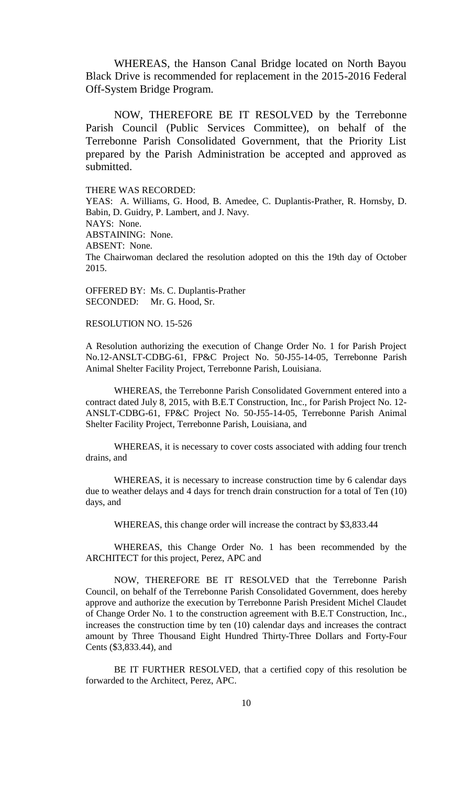WHEREAS, the Hanson Canal Bridge located on North Bayou Black Drive is recommended for replacement in the 2015-2016 Federal Off-System Bridge Program.

NOW, THEREFORE BE IT RESOLVED by the Terrebonne Parish Council (Public Services Committee), on behalf of the Terrebonne Parish Consolidated Government, that the Priority List prepared by the Parish Administration be accepted and approved as submitted.

THERE WAS RECORDED:

YEAS: A. Williams, G. Hood, B. Amedee, C. Duplantis-Prather, R. Hornsby, D. Babin, D. Guidry, P. Lambert, and J. Navy. NAYS: None. ABSTAINING: None. ABSENT: None. The Chairwoman declared the resolution adopted on this the 19th day of October 2015.

OFFERED BY: Ms. C. Duplantis-Prather SECONDED: Mr. G. Hood, Sr.

RESOLUTION NO. 15-526

A Resolution authorizing the execution of Change Order No. 1 for Parish Project No.12-ANSLT-CDBG-61, FP&C Project No. 50-J55-14-05, Terrebonne Parish Animal Shelter Facility Project, Terrebonne Parish, Louisiana.

WHEREAS, the Terrebonne Parish Consolidated Government entered into a contract dated July 8, 2015, with B.E.T Construction, Inc., for Parish Project No. 12- ANSLT-CDBG-61, FP&C Project No. 50-J55-14-05, Terrebonne Parish Animal Shelter Facility Project, Terrebonne Parish, Louisiana, and

WHEREAS, it is necessary to cover costs associated with adding four trench drains, and

WHEREAS, it is necessary to increase construction time by 6 calendar days due to weather delays and 4 days for trench drain construction for a total of Ten (10) days, and

WHEREAS, this change order will increase the contract by \$3,833.44

WHEREAS, this Change Order No. 1 has been recommended by the ARCHITECT for this project, Perez, APC and

NOW, THEREFORE BE IT RESOLVED that the Terrebonne Parish Council, on behalf of the Terrebonne Parish Consolidated Government, does hereby approve and authorize the execution by Terrebonne Parish President Michel Claudet of Change Order No. 1 to the construction agreement with B.E.T Construction, Inc., increases the construction time by ten (10) calendar days and increases the contract amount by Three Thousand Eight Hundred Thirty-Three Dollars and Forty-Four Cents (\$3,833.44), and

BE IT FURTHER RESOLVED, that a certified copy of this resolution be forwarded to the Architect, Perez, APC.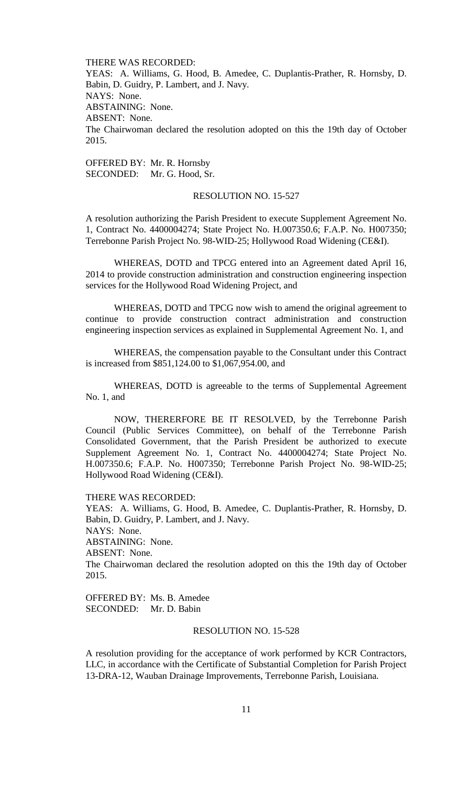THERE WAS RECORDED: YEAS: A. Williams, G. Hood, B. Amedee, C. Duplantis-Prather, R. Hornsby, D. Babin, D. Guidry, P. Lambert, and J. Navy. NAYS: None. ABSTAINING: None. ABSENT: None. The Chairwoman declared the resolution adopted on this the 19th day of October 2015.

OFFERED BY: Mr. R. Hornsby SECONDED: Mr. G. Hood, Sr.

### RESOLUTION NO. 15-527

A resolution authorizing the Parish President to execute Supplement Agreement No. 1, Contract No. 4400004274; State Project No. H.007350.6; F.A.P. No. H007350; Terrebonne Parish Project No. 98-WID-25; Hollywood Road Widening (CE&I).

WHEREAS, DOTD and TPCG entered into an Agreement dated April 16, 2014 to provide construction administration and construction engineering inspection services for the Hollywood Road Widening Project, and

WHEREAS, DOTD and TPCG now wish to amend the original agreement to continue to provide construction contract administration and construction engineering inspection services as explained in Supplemental Agreement No. 1, and

WHEREAS, the compensation payable to the Consultant under this Contract is increased from \$851,124.00 to \$1,067,954.00, and

WHEREAS, DOTD is agreeable to the terms of Supplemental Agreement No. 1, and

NOW, THERERFORE BE IT RESOLVED, by the Terrebonne Parish Council (Public Services Committee), on behalf of the Terrebonne Parish Consolidated Government, that the Parish President be authorized to execute Supplement Agreement No. 1, Contract No. 4400004274; State Project No. H.007350.6; F.A.P. No. H007350; Terrebonne Parish Project No. 98-WID-25; Hollywood Road Widening (CE&I).

THERE WAS RECORDED:

YEAS: A. Williams, G. Hood, B. Amedee, C. Duplantis-Prather, R. Hornsby, D. Babin, D. Guidry, P. Lambert, and J. Navy. NAYS: None. ABSTAINING: None. ABSENT: None. The Chairwoman declared the resolution adopted on this the 19th day of October 2015.

OFFERED BY: Ms. B. Amedee SECONDED: Mr. D. Babin

### RESOLUTION NO. 15-528

A resolution providing for the acceptance of work performed by KCR Contractors, LLC, in accordance with the Certificate of Substantial Completion for Parish Project 13-DRA-12, Wauban Drainage Improvements, Terrebonne Parish, Louisiana.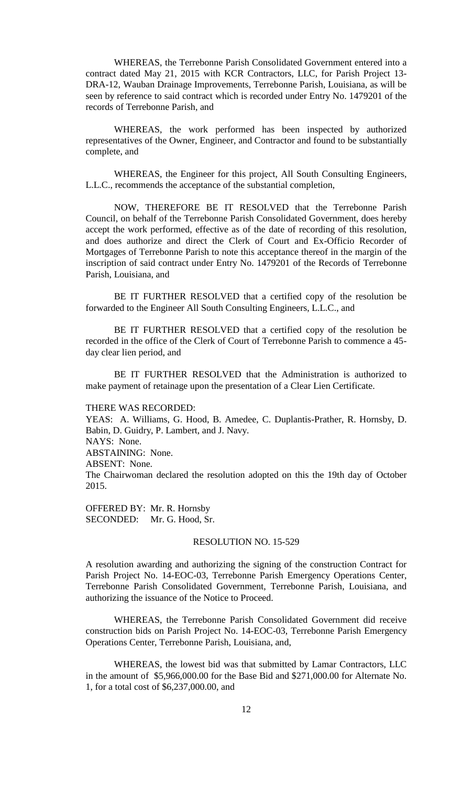WHEREAS, the Terrebonne Parish Consolidated Government entered into a contract dated May 21, 2015 with KCR Contractors, LLC, for Parish Project 13- DRA-12, Wauban Drainage Improvements, Terrebonne Parish, Louisiana, as will be seen by reference to said contract which is recorded under Entry No. 1479201 of the records of Terrebonne Parish, and

WHEREAS, the work performed has been inspected by authorized representatives of the Owner, Engineer, and Contractor and found to be substantially complete, and

WHEREAS, the Engineer for this project, All South Consulting Engineers, L.L.C., recommends the acceptance of the substantial completion,

NOW, THEREFORE BE IT RESOLVED that the Terrebonne Parish Council, on behalf of the Terrebonne Parish Consolidated Government, does hereby accept the work performed, effective as of the date of recording of this resolution, and does authorize and direct the Clerk of Court and Ex-Officio Recorder of Mortgages of Terrebonne Parish to note this acceptance thereof in the margin of the inscription of said contract under Entry No. 1479201 of the Records of Terrebonne Parish, Louisiana, and

BE IT FURTHER RESOLVED that a certified copy of the resolution be forwarded to the Engineer All South Consulting Engineers, L.L.C., and

BE IT FURTHER RESOLVED that a certified copy of the resolution be recorded in the office of the Clerk of Court of Terrebonne Parish to commence a 45 day clear lien period, and

BE IT FURTHER RESOLVED that the Administration is authorized to make payment of retainage upon the presentation of a Clear Lien Certificate.

#### THERE WAS RECORDED:

YEAS: A. Williams, G. Hood, B. Amedee, C. Duplantis-Prather, R. Hornsby, D. Babin, D. Guidry, P. Lambert, and J. Navy. NAYS: None. ABSTAINING: None. ABSENT: None. The Chairwoman declared the resolution adopted on this the 19th day of October 2015.

OFFERED BY: Mr. R. Hornsby SECONDED: Mr. G. Hood, Sr.

#### RESOLUTION NO. 15-529

A resolution awarding and authorizing the signing of the construction Contract for Parish Project No. 14-EOC-03, Terrebonne Parish Emergency Operations Center, Terrebonne Parish Consolidated Government, Terrebonne Parish, Louisiana, and authorizing the issuance of the Notice to Proceed.

WHEREAS, the Terrebonne Parish Consolidated Government did receive construction bids on Parish Project No. 14-EOC-03, Terrebonne Parish Emergency Operations Center, Terrebonne Parish, Louisiana, and,

WHEREAS, the lowest bid was that submitted by Lamar Contractors, LLC in the amount of \$5,966,000.00 for the Base Bid and \$271,000.00 for Alternate No. 1, for a total cost of \$6,237,000.00, and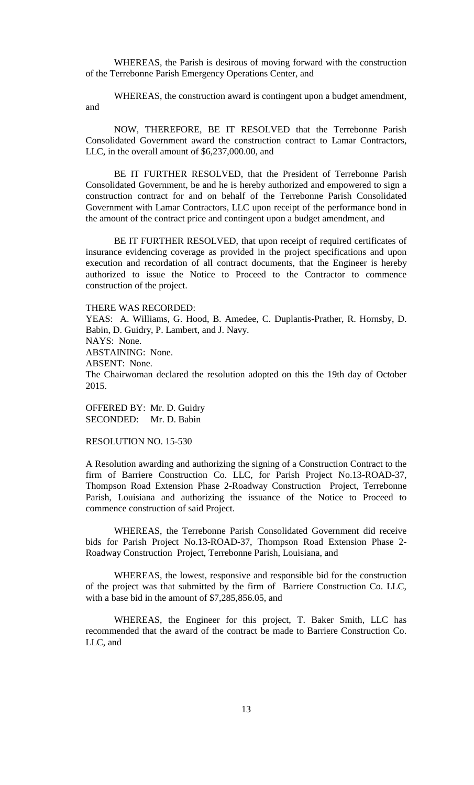WHEREAS, the Parish is desirous of moving forward with the construction of the Terrebonne Parish Emergency Operations Center, and

WHEREAS, the construction award is contingent upon a budget amendment, and

NOW, THEREFORE, BE IT RESOLVED that the Terrebonne Parish Consolidated Government award the construction contract to Lamar Contractors, LLC, in the overall amount of \$6,237,000.00, and

BE IT FURTHER RESOLVED, that the President of Terrebonne Parish Consolidated Government, be and he is hereby authorized and empowered to sign a construction contract for and on behalf of the Terrebonne Parish Consolidated Government with Lamar Contractors, LLC upon receipt of the performance bond in the amount of the contract price and contingent upon a budget amendment, and

BE IT FURTHER RESOLVED, that upon receipt of required certificates of insurance evidencing coverage as provided in the project specifications and upon execution and recordation of all contract documents, that the Engineer is hereby authorized to issue the Notice to Proceed to the Contractor to commence construction of the project.

#### THERE WAS RECORDED:

YEAS: A. Williams, G. Hood, B. Amedee, C. Duplantis-Prather, R. Hornsby, D. Babin, D. Guidry, P. Lambert, and J. Navy. NAYS: None. ABSTAINING: None. ABSENT: None.

The Chairwoman declared the resolution adopted on this the 19th day of October 2015.

OFFERED BY: Mr. D. Guidry SECONDED: Mr. D. Babin

### RESOLUTION NO. 15-530

A Resolution awarding and authorizing the signing of a Construction Contract to the firm of Barriere Construction Co. LLC, for Parish Project No.13-ROAD-37, Thompson Road Extension Phase 2-Roadway Construction Project, Terrebonne Parish, Louisiana and authorizing the issuance of the Notice to Proceed to commence construction of said Project.

WHEREAS, the Terrebonne Parish Consolidated Government did receive bids for Parish Project No.13-ROAD-37, Thompson Road Extension Phase 2- Roadway Construction Project, Terrebonne Parish, Louisiana, and

WHEREAS, the lowest, responsive and responsible bid for the construction of the project was that submitted by the firm of Barriere Construction Co. LLC, with a base bid in the amount of \$7,285,856.05, and

WHEREAS, the Engineer for this project, T. Baker Smith, LLC has recommended that the award of the contract be made to Barriere Construction Co. LLC, and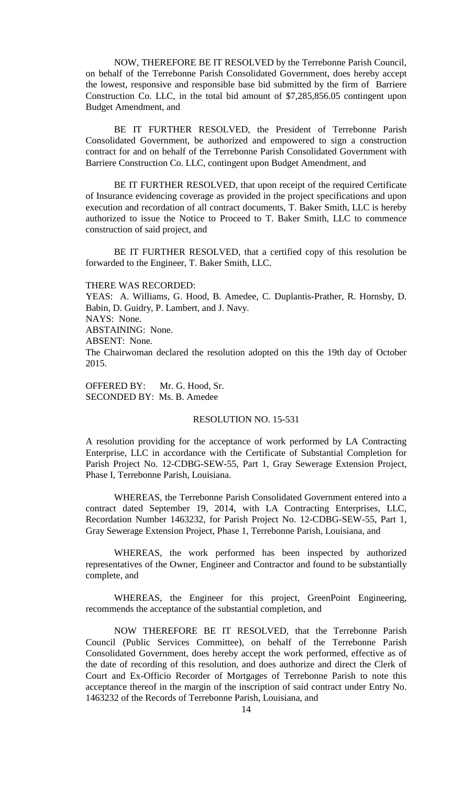NOW, THEREFORE BE IT RESOLVED by the Terrebonne Parish Council, on behalf of the Terrebonne Parish Consolidated Government, does hereby accept the lowest, responsive and responsible base bid submitted by the firm of Barriere Construction Co. LLC, in the total bid amount of \$7,285,856.05 contingent upon Budget Amendment, and

BE IT FURTHER RESOLVED, the President of Terrebonne Parish Consolidated Government, be authorized and empowered to sign a construction contract for and on behalf of the Terrebonne Parish Consolidated Government with Barriere Construction Co. LLC, contingent upon Budget Amendment, and

BE IT FURTHER RESOLVED, that upon receipt of the required Certificate of Insurance evidencing coverage as provided in the project specifications and upon execution and recordation of all contract documents, T. Baker Smith, LLC is hereby authorized to issue the Notice to Proceed to T. Baker Smith, LLC to commence construction of said project, and

BE IT FURTHER RESOLVED, that a certified copy of this resolution be forwarded to the Engineer, T. Baker Smith, LLC.

#### THERE WAS RECORDED:

YEAS: A. Williams, G. Hood, B. Amedee, C. Duplantis-Prather, R. Hornsby, D. Babin, D. Guidry, P. Lambert, and J. Navy. NAYS: None. ABSTAINING: None. ABSENT: None. The Chairwoman declared the resolution adopted on this the 19th day of October 2015.

OFFERED BY: Mr. G. Hood, Sr. SECONDED BY: Ms. B. Amedee

### RESOLUTION NO. 15-531

A resolution providing for the acceptance of work performed by LA Contracting Enterprise, LLC in accordance with the Certificate of Substantial Completion for Parish Project No. 12-CDBG-SEW-55, Part 1, Gray Sewerage Extension Project, Phase I, Terrebonne Parish, Louisiana.

WHEREAS, the Terrebonne Parish Consolidated Government entered into a contract dated September 19, 2014, with LA Contracting Enterprises, LLC, Recordation Number 1463232, for Parish Project No. 12-CDBG-SEW-55, Part 1, Gray Sewerage Extension Project, Phase 1, Terrebonne Parish, Louisiana, and

WHEREAS, the work performed has been inspected by authorized representatives of the Owner, Engineer and Contractor and found to be substantially complete, and

WHEREAS, the Engineer for this project, GreenPoint Engineering, recommends the acceptance of the substantial completion, and

NOW THEREFORE BE IT RESOLVED, that the Terrebonne Parish Council (Public Services Committee), on behalf of the Terrebonne Parish Consolidated Government, does hereby accept the work performed, effective as of the date of recording of this resolution, and does authorize and direct the Clerk of Court and Ex-Officio Recorder of Mortgages of Terrebonne Parish to note this acceptance thereof in the margin of the inscription of said contract under Entry No. 1463232 of the Records of Terrebonne Parish, Louisiana, and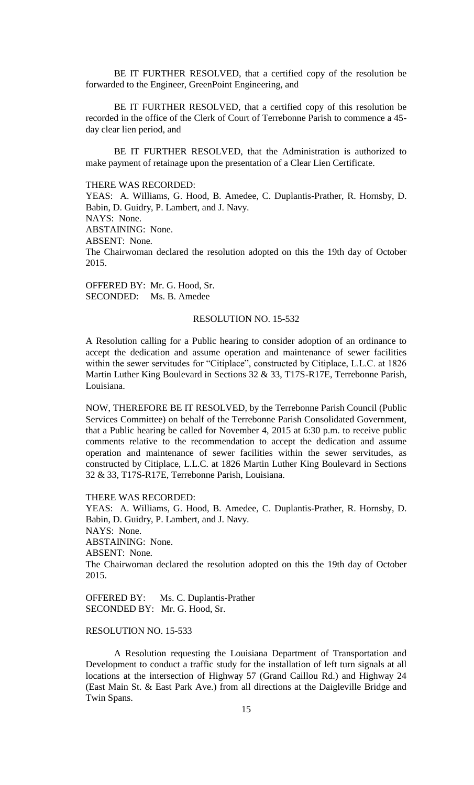BE IT FURTHER RESOLVED, that a certified copy of the resolution be forwarded to the Engineer, GreenPoint Engineering, and

BE IT FURTHER RESOLVED, that a certified copy of this resolution be recorded in the office of the Clerk of Court of Terrebonne Parish to commence a 45 day clear lien period, and

BE IT FURTHER RESOLVED, that the Administration is authorized to make payment of retainage upon the presentation of a Clear Lien Certificate.

#### THERE WAS RECORDED:

YEAS: A. Williams, G. Hood, B. Amedee, C. Duplantis-Prather, R. Hornsby, D. Babin, D. Guidry, P. Lambert, and J. Navy. NAYS: None. ABSTAINING: None. ABSENT: None. The Chairwoman declared the resolution adopted on this the 19th day of October 2015.

OFFERED BY: Mr. G. Hood, Sr. SECONDED: Ms. B. Amedee

#### RESOLUTION NO. 15-532

A Resolution calling for a Public hearing to consider adoption of an ordinance to accept the dedication and assume operation and maintenance of sewer facilities within the sewer servitudes for "Citiplace", constructed by Citiplace, L.L.C. at 1826 Martin Luther King Boulevard in Sections 32 & 33, T17S-R17E, Terrebonne Parish, Louisiana.

NOW, THEREFORE BE IT RESOLVED, by the Terrebonne Parish Council (Public Services Committee) on behalf of the Terrebonne Parish Consolidated Government, that a Public hearing be called for November 4, 2015 at 6:30 p.m. to receive public comments relative to the recommendation to accept the dedication and assume operation and maintenance of sewer facilities within the sewer servitudes, as constructed by Citiplace, L.L.C. at 1826 Martin Luther King Boulevard in Sections 32 & 33, T17S-R17E, Terrebonne Parish, Louisiana.

#### THERE WAS RECORDED:

YEAS: A. Williams, G. Hood, B. Amedee, C. Duplantis-Prather, R. Hornsby, D. Babin, D. Guidry, P. Lambert, and J. Navy. NAYS: None. ABSTAINING: None. ABSENT: None. The Chairwoman declared the resolution adopted on this the 19th day of October 2015.

OFFERED BY: Ms. C. Duplantis-Prather SECONDED BY: Mr. G. Hood, Sr.

# RESOLUTION NO. 15-533

A Resolution requesting the Louisiana Department of Transportation and Development to conduct a traffic study for the installation of left turn signals at all locations at the intersection of Highway 57 (Grand Caillou Rd.) and Highway 24 (East Main St. & East Park Ave.) from all directions at the Daigleville Bridge and Twin Spans.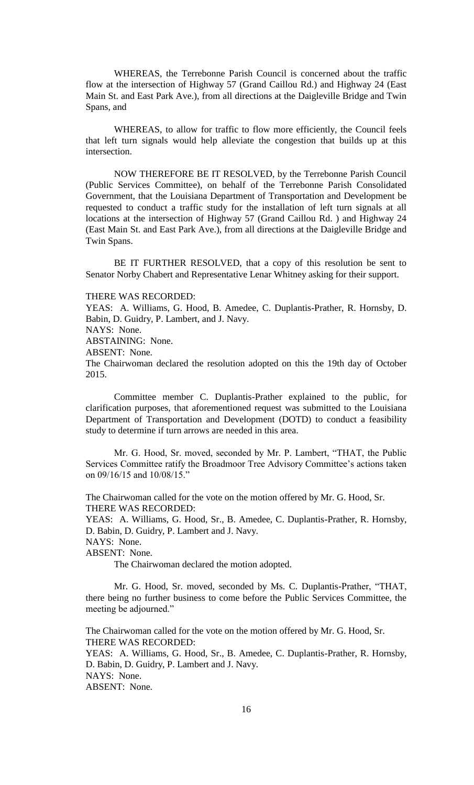WHEREAS, the Terrebonne Parish Council is concerned about the traffic flow at the intersection of Highway 57 (Grand Caillou Rd.) and Highway 24 (East Main St. and East Park Ave.), from all directions at the Daigleville Bridge and Twin Spans, and

WHEREAS, to allow for traffic to flow more efficiently, the Council feels that left turn signals would help alleviate the congestion that builds up at this intersection.

NOW THEREFORE BE IT RESOLVED, by the Terrebonne Parish Council (Public Services Committee), on behalf of the Terrebonne Parish Consolidated Government, that the Louisiana Department of Transportation and Development be requested to conduct a traffic study for the installation of left turn signals at all locations at the intersection of Highway 57 (Grand Caillou Rd. ) and Highway 24 (East Main St. and East Park Ave.), from all directions at the Daigleville Bridge and Twin Spans.

BE IT FURTHER RESOLVED, that a copy of this resolution be sent to Senator Norby Chabert and Representative Lenar Whitney asking for their support.

THERE WAS RECORDED:

YEAS: A. Williams, G. Hood, B. Amedee, C. Duplantis-Prather, R. Hornsby, D. Babin, D. Guidry, P. Lambert, and J. Navy.

NAYS: None.

ABSTAINING: None.

ABSENT: None.

The Chairwoman declared the resolution adopted on this the 19th day of October 2015.

Committee member C. Duplantis-Prather explained to the public, for clarification purposes, that aforementioned request was submitted to the Louisiana Department of Transportation and Development (DOTD) to conduct a feasibility study to determine if turn arrows are needed in this area.

Mr. G. Hood, Sr. moved, seconded by Mr. P. Lambert, "THAT, the Public Services Committee ratify the Broadmoor Tree Advisory Committee's actions taken on 09/16/15 and 10/08/15."

The Chairwoman called for the vote on the motion offered by Mr. G. Hood, Sr. THERE WAS RECORDED:

YEAS: A. Williams, G. Hood, Sr., B. Amedee, C. Duplantis-Prather, R. Hornsby, D. Babin, D. Guidry, P. Lambert and J. Navy.

NAYS: None.

ABSENT: None.

The Chairwoman declared the motion adopted.

Mr. G. Hood, Sr. moved, seconded by Ms. C. Duplantis-Prather, "THAT, there being no further business to come before the Public Services Committee, the meeting be adjourned."

The Chairwoman called for the vote on the motion offered by Mr. G. Hood, Sr. THERE WAS RECORDED:

YEAS: A. Williams, G. Hood, Sr., B. Amedee, C. Duplantis-Prather, R. Hornsby, D. Babin, D. Guidry, P. Lambert and J. Navy. NAYS: None.

ABSENT: None.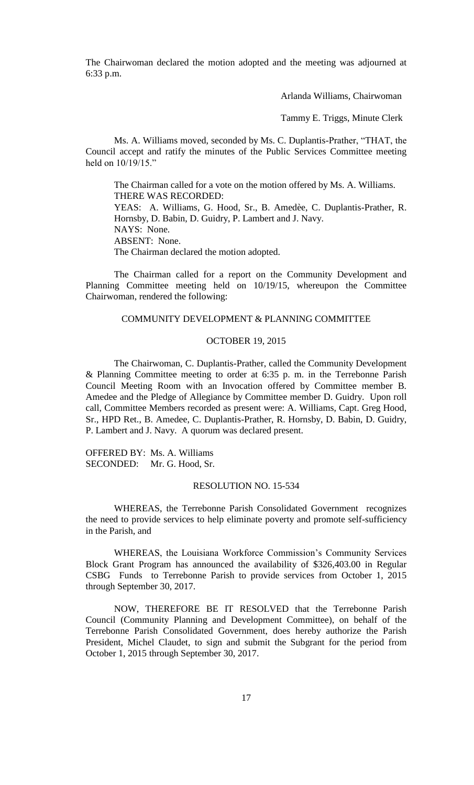The Chairwoman declared the motion adopted and the meeting was adjourned at 6:33 p.m.

Arlanda Williams, Chairwoman

Tammy E. Triggs, Minute Clerk

Ms. A. Williams moved, seconded by Ms. C. Duplantis-Prather, "THAT, the Council accept and ratify the minutes of the Public Services Committee meeting held on  $10/19/15$ ."

The Chairman called for a vote on the motion offered by Ms. A. Williams. THERE WAS RECORDED: YEAS: A. Williams, G. Hood, Sr., B. Amedèe, C. Duplantis-Prather, R. Hornsby, D. Babin, D. Guidry, P. Lambert and J. Navy. NAYS: None. ABSENT: None. The Chairman declared the motion adopted.

The Chairman called for a report on the Community Development and Planning Committee meeting held on 10/19/15, whereupon the Committee Chairwoman, rendered the following:

#### COMMUNITY DEVELOPMENT & PLANNING COMMITTEE

### OCTOBER 19, 2015

The Chairwoman, C. Duplantis-Prather, called the Community Development & Planning Committee meeting to order at 6:35 p. m. in the Terrebonne Parish Council Meeting Room with an Invocation offered by Committee member B. Amedee and the Pledge of Allegiance by Committee member D. Guidry. Upon roll call, Committee Members recorded as present were: A. Williams, Capt. Greg Hood, Sr., HPD Ret., B. Amedee, C. Duplantis-Prather, R. Hornsby, D. Babin, D. Guidry, P. Lambert and J. Navy. A quorum was declared present.

OFFERED BY: Ms. A. Williams SECONDED: Mr. G. Hood, Sr.

### RESOLUTION NO. 15-534

WHEREAS, the Terrebonne Parish Consolidated Government recognizes the need to provide services to help eliminate poverty and promote self-sufficiency in the Parish, and

WHEREAS, the Louisiana Workforce Commission's Community Services Block Grant Program has announced the availability of \$326,403.00 in Regular CSBG Funds to Terrebonne Parish to provide services from October 1, 2015 through September 30, 2017.

NOW, THEREFORE BE IT RESOLVED that the Terrebonne Parish Council (Community Planning and Development Committee), on behalf of the Terrebonne Parish Consolidated Government, does hereby authorize the Parish President, Michel Claudet, to sign and submit the Subgrant for the period from October 1, 2015 through September 30, 2017.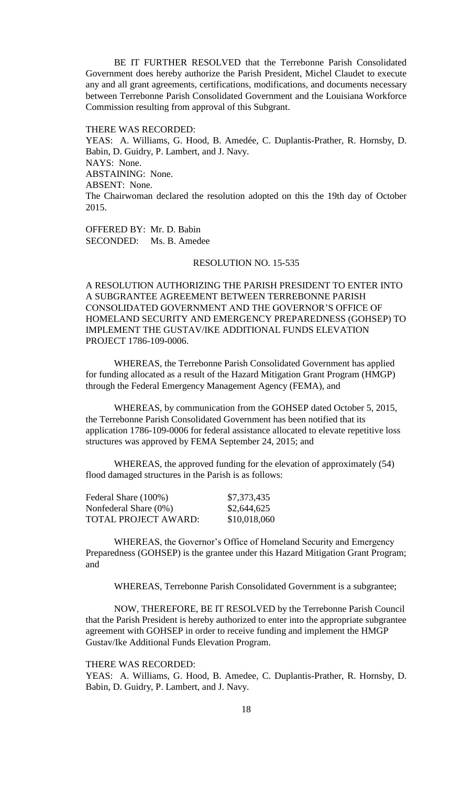BE IT FURTHER RESOLVED that the Terrebonne Parish Consolidated Government does hereby authorize the Parish President, Michel Claudet to execute any and all grant agreements, certifications, modifications, and documents necessary between Terrebonne Parish Consolidated Government and the Louisiana Workforce Commission resulting from approval of this Subgrant.

THERE WAS RECORDED:

YEAS: A. Williams, G. Hood, B. Amedée, C. Duplantis-Prather, R. Hornsby, D. Babin, D. Guidry, P. Lambert, and J. Navy. NAYS: None. ABSTAINING: None. ABSENT: None. The Chairwoman declared the resolution adopted on this the 19th day of October 2015.

OFFERED BY: Mr. D. Babin SECONDED: Ms. B. Amedee

# RESOLUTION NO. 15-535

A RESOLUTION AUTHORIZING THE PARISH PRESIDENT TO ENTER INTO A SUBGRANTEE AGREEMENT BETWEEN TERREBONNE PARISH CONSOLIDATED GOVERNMENT AND THE GOVERNOR'S OFFICE OF HOMELAND SECURITY AND EMERGENCY PREPAREDNESS (GOHSEP) TO IMPLEMENT THE GUSTAV/IKE ADDITIONAL FUNDS ELEVATION PROJECT 1786-109-0006.

WHEREAS, the Terrebonne Parish Consolidated Government has applied for funding allocated as a result of the Hazard Mitigation Grant Program (HMGP) through the Federal Emergency Management Agency (FEMA), and

WHEREAS, by communication from the GOHSEP dated October 5, 2015, the Terrebonne Parish Consolidated Government has been notified that its application 1786-109-0006 for federal assistance allocated to elevate repetitive loss structures was approved by FEMA September 24, 2015; and

WHEREAS, the approved funding for the elevation of approximately (54) flood damaged structures in the Parish is as follows:

| Federal Share (100%)        | \$7,373,435  |
|-----------------------------|--------------|
| Nonfederal Share (0%)       | \$2,644,625  |
| <b>TOTAL PROJECT AWARD:</b> | \$10,018,060 |

WHEREAS, the Governor's Office of Homeland Security and Emergency Preparedness (GOHSEP) is the grantee under this Hazard Mitigation Grant Program; and

WHEREAS, Terrebonne Parish Consolidated Government is a subgrantee;

NOW, THEREFORE, BE IT RESOLVED by the Terrebonne Parish Council that the Parish President is hereby authorized to enter into the appropriate subgrantee agreement with GOHSEP in order to receive funding and implement the HMGP Gustav/Ike Additional Funds Elevation Program.

THERE WAS RECORDED:

YEAS: A. Williams, G. Hood, B. Amedee, C. Duplantis-Prather, R. Hornsby, D. Babin, D. Guidry, P. Lambert, and J. Navy.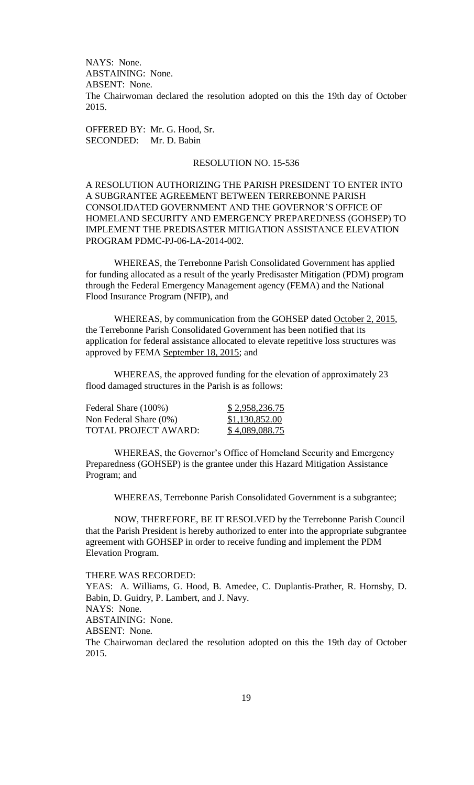NAYS: None. ABSTAINING: None. ABSENT: None. The Chairwoman declared the resolution adopted on this the 19th day of October 2015.

OFFERED BY: Mr. G. Hood, Sr. SECONDED: Mr. D. Babin

### RESOLUTION NO. 15-536

A RESOLUTION AUTHORIZING THE PARISH PRESIDENT TO ENTER INTO A SUBGRANTEE AGREEMENT BETWEEN TERREBONNE PARISH CONSOLIDATED GOVERNMENT AND THE GOVERNOR'S OFFICE OF HOMELAND SECURITY AND EMERGENCY PREPAREDNESS (GOHSEP) TO IMPLEMENT THE PREDISASTER MITIGATION ASSISTANCE ELEVATION PROGRAM PDMC-PJ-06-LA-2014-002.

WHEREAS, the Terrebonne Parish Consolidated Government has applied for funding allocated as a result of the yearly Predisaster Mitigation (PDM) program through the Federal Emergency Management agency (FEMA) and the National Flood Insurance Program (NFIP), and

WHEREAS, by communication from the GOHSEP dated October 2, 2015, the Terrebonne Parish Consolidated Government has been notified that its application for federal assistance allocated to elevate repetitive loss structures was approved by FEMA September 18, 2015; and

WHEREAS, the approved funding for the elevation of approximately 23 flood damaged structures in the Parish is as follows:

| Federal Share (100%)      | \$2,958,236.75 |
|---------------------------|----------------|
| Non Federal Share $(0\%)$ | \$1,130,852.00 |
| TOTAL PROJECT AWARD:      | \$4,089,088.75 |

WHEREAS, the Governor's Office of Homeland Security and Emergency Preparedness (GOHSEP) is the grantee under this Hazard Mitigation Assistance Program; and

WHEREAS, Terrebonne Parish Consolidated Government is a subgrantee;

NOW, THEREFORE, BE IT RESOLVED by the Terrebonne Parish Council that the Parish President is hereby authorized to enter into the appropriate subgrantee agreement with GOHSEP in order to receive funding and implement the PDM Elevation Program.

THERE WAS RECORDED:

YEAS: A. Williams, G. Hood, B. Amedee, C. Duplantis-Prather, R. Hornsby, D. Babin, D. Guidry, P. Lambert, and J. Navy. NAYS: None.

ABSTAINING: None.

ABSENT: None.

The Chairwoman declared the resolution adopted on this the 19th day of October 2015.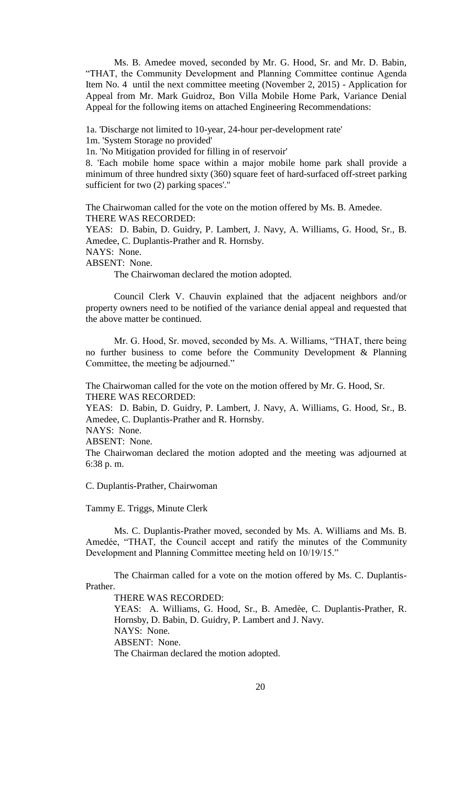Ms. B. Amedee moved, seconded by Mr. G. Hood, Sr. and Mr. D. Babin, "THAT, the Community Development and Planning Committee continue Agenda Item No. 4 until the next committee meeting (November 2, 2015) - Application for Appeal from Mr. Mark Guidroz, Bon Villa Mobile Home Park, Variance Denial Appeal for the following items on attached Engineering Recommendations:

1a. 'Discharge not limited to 10-year, 24-hour per-development rate'

1m. 'System Storage no provided'

1n. 'No Mitigation provided for filling in of reservoir'

8. 'Each mobile home space within a major mobile home park shall provide a minimum of three hundred sixty (360) square feet of hard-surfaced off-street parking sufficient for two (2) parking spaces'."

The Chairwoman called for the vote on the motion offered by Ms. B. Amedee. THERE WAS RECORDED:

YEAS: D. Babin, D. Guidry, P. Lambert, J. Navy, A. Williams, G. Hood, Sr., B. Amedee, C. Duplantis-Prather and R. Hornsby.

NAYS: None.

ABSENT: None.

The Chairwoman declared the motion adopted.

Council Clerk V. Chauvin explained that the adjacent neighbors and/or property owners need to be notified of the variance denial appeal and requested that the above matter be continued.

Mr. G. Hood, Sr. moved, seconded by Ms. A. Williams, "THAT, there being no further business to come before the Community Development & Planning Committee, the meeting be adjourned."

The Chairwoman called for the vote on the motion offered by Mr. G. Hood, Sr. THERE WAS RECORDED:

YEAS: D. Babin, D. Guidry, P. Lambert, J. Navy, A. Williams, G. Hood, Sr., B. Amedee, C. Duplantis-Prather and R. Hornsby.

NAYS: None.

ABSENT: None.

The Chairwoman declared the motion adopted and the meeting was adjourned at 6:38 p. m.

C. Duplantis-Prather, Chairwoman

Tammy E. Triggs, Minute Clerk

Ms. C. Duplantis-Prather moved, seconded by Ms. A. Williams and Ms. B. Amedée, "THAT, the Council accept and ratify the minutes of the Community Development and Planning Committee meeting held on 10/19/15."

The Chairman called for a vote on the motion offered by Ms. C. Duplantis-Prather.

THERE WAS RECORDED:

YEAS: A. Williams, G. Hood, Sr., B. Amedèe, C. Duplantis-Prather, R. Hornsby, D. Babin, D. Guidry, P. Lambert and J. Navy. NAYS: None. ABSENT: None.

The Chairman declared the motion adopted.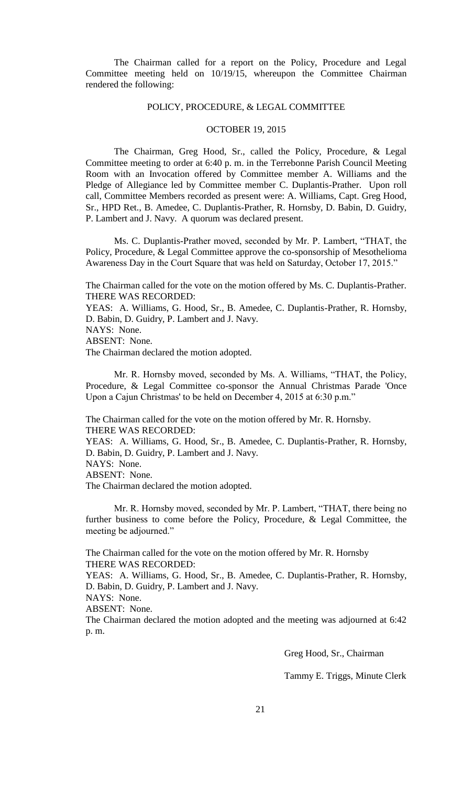The Chairman called for a report on the Policy, Procedure and Legal Committee meeting held on 10/19/15, whereupon the Committee Chairman rendered the following:

#### POLICY, PROCEDURE, & LEGAL COMMITTEE

### OCTOBER 19, 2015

The Chairman, Greg Hood, Sr., called the Policy, Procedure, & Legal Committee meeting to order at 6:40 p. m. in the Terrebonne Parish Council Meeting Room with an Invocation offered by Committee member A. Williams and the Pledge of Allegiance led by Committee member C. Duplantis-Prather. Upon roll call, Committee Members recorded as present were: A. Williams, Capt. Greg Hood, Sr., HPD Ret., B. Amedee, C. Duplantis-Prather, R. Hornsby, D. Babin, D. Guidry, P. Lambert and J. Navy. A quorum was declared present.

Ms. C. Duplantis-Prather moved, seconded by Mr. P. Lambert, "THAT, the Policy, Procedure, & Legal Committee approve the co-sponsorship of Mesothelioma Awareness Day in the Court Square that was held on Saturday, October 17, 2015."

The Chairman called for the vote on the motion offered by Ms. C. Duplantis-Prather. THERE WAS RECORDED:

YEAS: A. Williams, G. Hood, Sr., B. Amedee, C. Duplantis-Prather, R. Hornsby, D. Babin, D. Guidry, P. Lambert and J. Navy.

NAYS: None.

ABSENT: None.

The Chairman declared the motion adopted.

 Mr. R. Hornsby moved, seconded by Ms. A. Williams, "THAT, the Policy, Procedure, & Legal Committee co-sponsor the Annual Christmas Parade 'Once Upon a Cajun Christmas' to be held on December 4, 2015 at 6:30 p.m."

The Chairman called for the vote on the motion offered by Mr. R. Hornsby. THERE WAS RECORDED:

YEAS: A. Williams, G. Hood, Sr., B. Amedee, C. Duplantis-Prather, R. Hornsby, D. Babin, D. Guidry, P. Lambert and J. Navy.

NAYS: None.

ABSENT: None.

The Chairman declared the motion adopted.

Mr. R. Hornsby moved, seconded by Mr. P. Lambert, "THAT, there being no further business to come before the Policy, Procedure, & Legal Committee, the meeting be adjourned."

The Chairman called for the vote on the motion offered by Mr. R. Hornsby THERE WAS RECORDED:

YEAS: A. Williams, G. Hood, Sr., B. Amedee, C. Duplantis-Prather, R. Hornsby, D. Babin, D. Guidry, P. Lambert and J. Navy.

NAYS: None.

ABSENT: None.

The Chairman declared the motion adopted and the meeting was adjourned at 6:42 p. m.

Greg Hood, Sr., Chairman

Tammy E. Triggs, Minute Clerk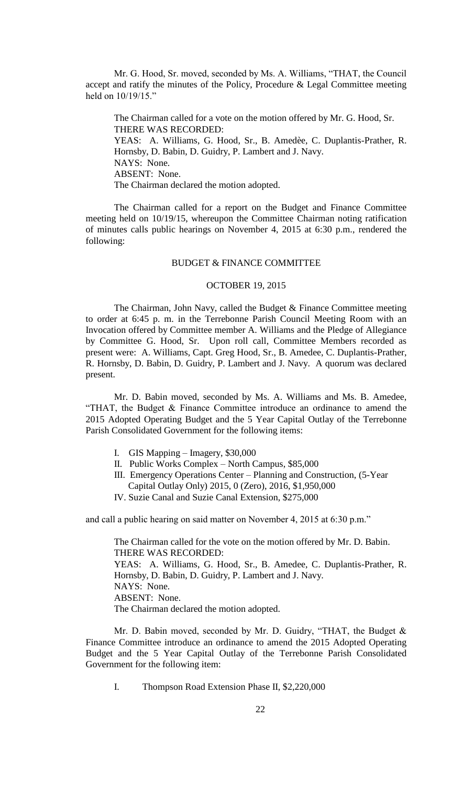Mr. G. Hood, Sr. moved, seconded by Ms. A. Williams, "THAT, the Council accept and ratify the minutes of the Policy, Procedure & Legal Committee meeting held on 10/19/15."

The Chairman called for a vote on the motion offered by Mr. G. Hood, Sr. THERE WAS RECORDED: YEAS: A. Williams, G. Hood, Sr., B. Amedèe, C. Duplantis-Prather, R. Hornsby, D. Babin, D. Guidry, P. Lambert and J. Navy. NAYS: None. ABSENT: None. The Chairman declared the motion adopted.

The Chairman called for a report on the Budget and Finance Committee meeting held on 10/19/15, whereupon the Committee Chairman noting ratification of minutes calls public hearings on November 4, 2015 at 6:30 p.m., rendered the following:

## BUDGET & FINANCE COMMITTEE

### OCTOBER 19, 2015

The Chairman, John Navy, called the Budget & Finance Committee meeting to order at 6:45 p. m. in the Terrebonne Parish Council Meeting Room with an Invocation offered by Committee member A. Williams and the Pledge of Allegiance by Committee G. Hood, Sr. Upon roll call, Committee Members recorded as present were: A. Williams, Capt. Greg Hood, Sr., B. Amedee, C. Duplantis-Prather, R. Hornsby, D. Babin, D. Guidry, P. Lambert and J. Navy. A quorum was declared present.

Mr. D. Babin moved, seconded by Ms. A. Williams and Ms. B. Amedee, "THAT, the Budget & Finance Committee introduce an ordinance to amend the 2015 Adopted Operating Budget and the 5 Year Capital Outlay of the Terrebonne Parish Consolidated Government for the following items:

- I. GIS Mapping Imagery, \$30,000
- II. Public Works Complex North Campus, \$85,000
- III. Emergency Operations Center Planning and Construction, (5-Year Capital Outlay Only) 2015, 0 (Zero), 2016, \$1,950,000
- IV. Suzie Canal and Suzie Canal Extension, \$275,000

and call a public hearing on said matter on November 4, 2015 at 6:30 p.m."

The Chairman called for the vote on the motion offered by Mr. D. Babin. THERE WAS RECORDED: YEAS: A. Williams, G. Hood, Sr., B. Amedee, C. Duplantis-Prather, R. Hornsby, D. Babin, D. Guidry, P. Lambert and J. Navy. NAYS: None. ABSENT: None. The Chairman declared the motion adopted.

Mr. D. Babin moved, seconded by Mr. D. Guidry, "THAT, the Budget & Finance Committee introduce an ordinance to amend the 2015 Adopted Operating Budget and the 5 Year Capital Outlay of the Terrebonne Parish Consolidated Government for the following item:

I. Thompson Road Extension Phase II, \$2,220,000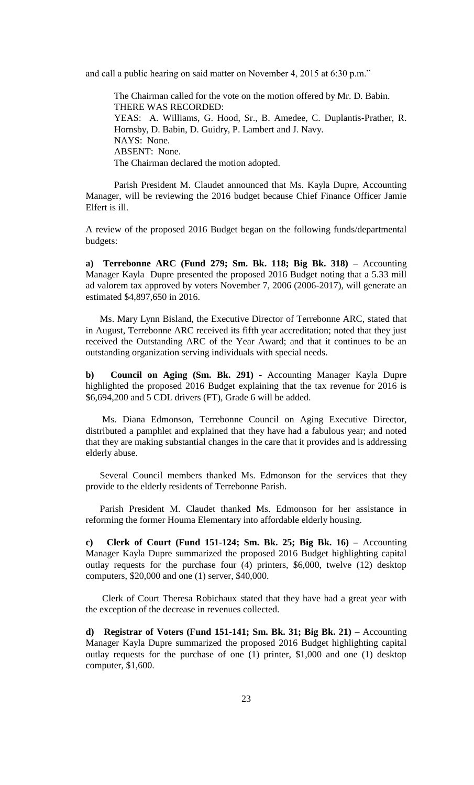and call a public hearing on said matter on November 4, 2015 at 6:30 p.m."

The Chairman called for the vote on the motion offered by Mr. D. Babin. THERE WAS RECORDED: YEAS: A. Williams, G. Hood, Sr., B. Amedee, C. Duplantis-Prather, R. Hornsby, D. Babin, D. Guidry, P. Lambert and J. Navy. NAYS: None. ABSENT: None. The Chairman declared the motion adopted.

Parish President M. Claudet announced that Ms. Kayla Dupre, Accounting Manager, will be reviewing the 2016 budget because Chief Finance Officer Jamie Elfert is ill.

A review of the proposed 2016 Budget began on the following funds/departmental budgets:

**a) Terrebonne ARC (Fund 279; Sm. Bk. 118; Big Bk. 318) –** Accounting Manager Kayla Dupre presented the proposed 2016 Budget noting that a 5.33 mill ad valorem tax approved by voters November 7, 2006 (2006-2017), will generate an estimated \$4,897,650 in 2016.

Ms. Mary Lynn Bisland, the Executive Director of Terrebonne ARC, stated that in August, Terrebonne ARC received its fifth year accreditation; noted that they just received the Outstanding ARC of the Year Award; and that it continues to be an outstanding organization serving individuals with special needs.

**b) Council on Aging (Sm. Bk. 291) -** Accounting Manager Kayla Dupre highlighted the proposed 2016 Budget explaining that the tax revenue for 2016 is \$6,694,200 and 5 CDL drivers (FT), Grade 6 will be added.

 Ms. Diana Edmonson, Terrebonne Council on Aging Executive Director, distributed a pamphlet and explained that they have had a fabulous year; and noted that they are making substantial changes in the care that it provides and is addressing elderly abuse.

 Several Council members thanked Ms. Edmonson for the services that they provide to the elderly residents of Terrebonne Parish.

 Parish President M. Claudet thanked Ms. Edmonson for her assistance in reforming the former Houma Elementary into affordable elderly housing.

**c) Clerk of Court (Fund 151-124; Sm. Bk. 25; Big Bk. 16) –** Accounting Manager Kayla Dupre summarized the proposed 2016 Budget highlighting capital outlay requests for the purchase four (4) printers, \$6,000, twelve (12) desktop computers, \$20,000 and one (1) server, \$40,000.

 Clerk of Court Theresa Robichaux stated that they have had a great year with the exception of the decrease in revenues collected.

**d) Registrar of Voters (Fund 151-141; Sm. Bk. 31; Big Bk. 21) –** Accounting Manager Kayla Dupre summarized the proposed 2016 Budget highlighting capital outlay requests for the purchase of one (1) printer, \$1,000 and one (1) desktop computer, \$1,600.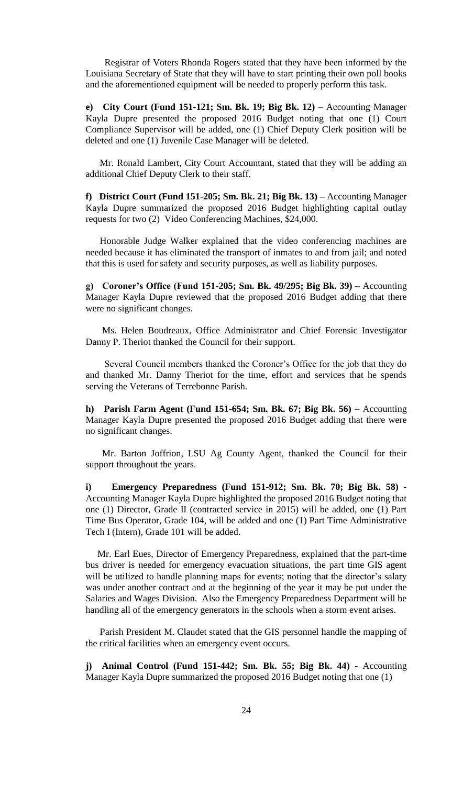Registrar of Voters Rhonda Rogers stated that they have been informed by the Louisiana Secretary of State that they will have to start printing their own poll books and the aforementioned equipment will be needed to properly perform this task.

**e) City Court (Fund 151-121; Sm. Bk. 19; Big Bk. 12) –** Accounting Manager Kayla Dupre presented the proposed 2016 Budget noting that one (1) Court Compliance Supervisor will be added, one (1) Chief Deputy Clerk position will be deleted and one (1) Juvenile Case Manager will be deleted.

 Mr. Ronald Lambert, City Court Accountant, stated that they will be adding an additional Chief Deputy Clerk to their staff.

**f) District Court (Fund 151-205; Sm. Bk. 21; Big Bk. 13) –** Accounting Manager Kayla Dupre summarized the proposed 2016 Budget highlighting capital outlay requests for two (2) Video Conferencing Machines, \$24,000.

 Honorable Judge Walker explained that the video conferencing machines are needed because it has eliminated the transport of inmates to and from jail; and noted that this is used for safety and security purposes, as well as liability purposes.

**g) Coroner's Office (Fund 151-205; Sm. Bk. 49/295; Big Bk. 39) –** Accounting Manager Kayla Dupre reviewed that the proposed 2016 Budget adding that there were no significant changes.

 Ms. Helen Boudreaux, Office Administrator and Chief Forensic Investigator Danny P. Theriot thanked the Council for their support.

 Several Council members thanked the Coroner's Office for the job that they do and thanked Mr. Danny Theriot for the time, effort and services that he spends serving the Veterans of Terrebonne Parish.

**h) Parish Farm Agent (Fund 151-654; Sm. Bk. 67; Big Bk. 56)** – Accounting Manager Kayla Dupre presented the proposed 2016 Budget adding that there were no significant changes.

 Mr. Barton Joffrion, LSU Ag County Agent, thanked the Council for their support throughout the years.

**i) Emergency Preparedness (Fund 151-912; Sm. Bk. 70; Big Bk. 58)** - Accounting Manager Kayla Dupre highlighted the proposed 2016 Budget noting that one (1) Director, Grade II (contracted service in 2015) will be added, one (1) Part Time Bus Operator, Grade 104, will be added and one (1) Part Time Administrative Tech I (Intern), Grade 101 will be added.

 Mr. Earl Eues, Director of Emergency Preparedness, explained that the part-time bus driver is needed for emergency evacuation situations, the part time GIS agent will be utilized to handle planning maps for events; noting that the director's salary was under another contract and at the beginning of the year it may be put under the Salaries and Wages Division. Also the Emergency Preparedness Department will be handling all of the emergency generators in the schools when a storm event arises.

 Parish President M. Claudet stated that the GIS personnel handle the mapping of the critical facilities when an emergency event occurs.

**j) Animal Control (Fund 151-442; Sm. Bk. 55; Big Bk. 44)** - Accounting Manager Kayla Dupre summarized the proposed 2016 Budget noting that one (1)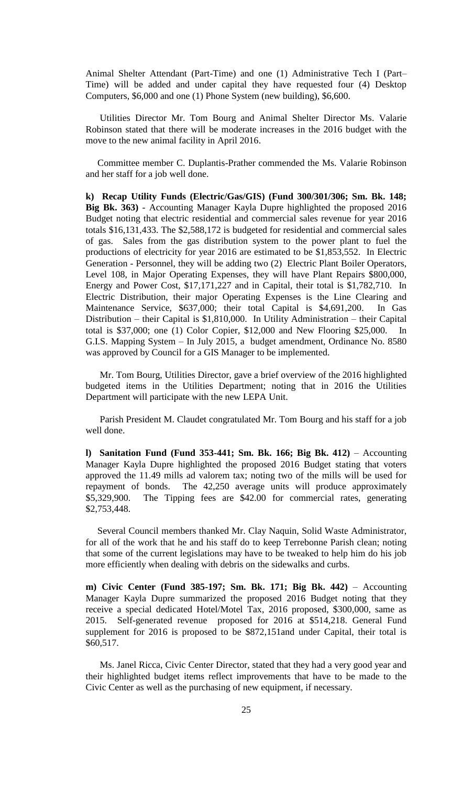Animal Shelter Attendant (Part-Time) and one (1) Administrative Tech I (Part– Time) will be added and under capital they have requested four (4) Desktop Computers, \$6,000 and one (1) Phone System (new building), \$6,600.

 Utilities Director Mr. Tom Bourg and Animal Shelter Director Ms. Valarie Robinson stated that there will be moderate increases in the 2016 budget with the move to the new animal facility in April 2016.

 Committee member C. Duplantis-Prather commended the Ms. Valarie Robinson and her staff for a job well done.

**k) Recap Utility Funds (Electric/Gas/GIS) (Fund 300/301/306; Sm. Bk. 148; Big Bk. 363)** - Accounting Manager Kayla Dupre highlighted the proposed 2016 Budget noting that electric residential and commercial sales revenue for year 2016 totals \$16,131,433. The \$2,588,172 is budgeted for residential and commercial sales of gas. Sales from the gas distribution system to the power plant to fuel the productions of electricity for year 2016 are estimated to be \$1,853,552. In Electric Generation - Personnel, they will be adding two (2) Electric Plant Boiler Operators, Level 108, in Major Operating Expenses, they will have Plant Repairs \$800,000, Energy and Power Cost, \$17,171,227 and in Capital, their total is \$1,782,710. In Electric Distribution, their major Operating Expenses is the Line Clearing and Maintenance Service, \$637,000; their total Capital is \$4,691,200. In Gas Distribution – their Capital is \$1,810,000. In Utility Administration – their Capital total is \$37,000; one (1) Color Copier, \$12,000 and New Flooring \$25,000. In G.I.S. Mapping System – In July 2015, a budget amendment, Ordinance No. 8580 was approved by Council for a GIS Manager to be implemented.

 Mr. Tom Bourg, Utilities Director, gave a brief overview of the 2016 highlighted budgeted items in the Utilities Department; noting that in 2016 the Utilities Department will participate with the new LEPA Unit.

 Parish President M. Claudet congratulated Mr. Tom Bourg and his staff for a job well done.

**l) Sanitation Fund (Fund 353-441; Sm. Bk. 166; Big Bk. 412)** – Accounting Manager Kayla Dupre highlighted the proposed 2016 Budget stating that voters approved the 11.49 mills ad valorem tax; noting two of the mills will be used for repayment of bonds. The 42,250 average units will produce approximately \$5,329,900. The Tipping fees are \$42.00 for commercial rates, generating \$2,753,448.

 Several Council members thanked Mr. Clay Naquin, Solid Waste Administrator, for all of the work that he and his staff do to keep Terrebonne Parish clean; noting that some of the current legislations may have to be tweaked to help him do his job more efficiently when dealing with debris on the sidewalks and curbs.

**m) Civic Center (Fund 385-197; Sm. Bk. 171; Big Bk. 442)** – Accounting Manager Kayla Dupre summarized the proposed 2016 Budget noting that they receive a special dedicated Hotel/Motel Tax, 2016 proposed, \$300,000, same as 2015. Self-generated revenue proposed for 2016 at \$514,218. General Fund supplement for 2016 is proposed to be \$872,151and under Capital, their total is \$60,517.

 Ms. Janel Ricca, Civic Center Director, stated that they had a very good year and their highlighted budget items reflect improvements that have to be made to the Civic Center as well as the purchasing of new equipment, if necessary.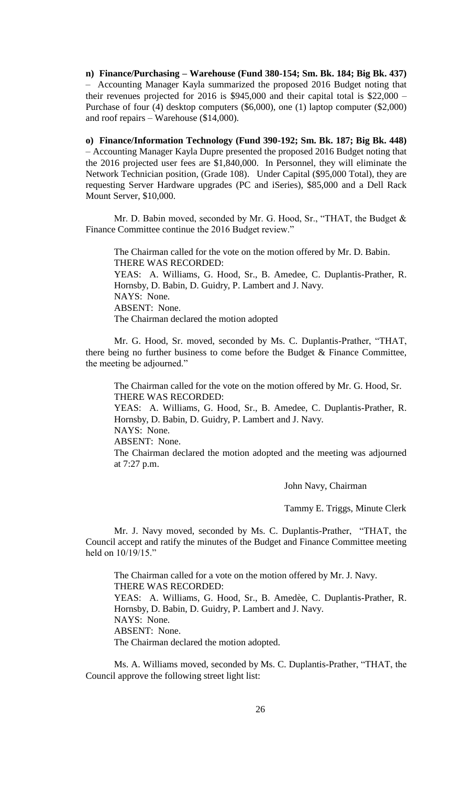**n) Finance/Purchasing – Warehouse (Fund 380-154; Sm. Bk. 184; Big Bk. 437)** – Accounting Manager Kayla summarized the proposed 2016 Budget noting that their revenues projected for 2016 is \$945,000 and their capital total is \$22,000 – Purchase of four (4) desktop computers (\$6,000), one (1) laptop computer (\$2,000) and roof repairs – Warehouse (\$14,000).

**o) Finance/Information Technology (Fund 390-192; Sm. Bk. 187; Big Bk. 448)**  – Accounting Manager Kayla Dupre presented the proposed 2016 Budget noting that the 2016 projected user fees are \$1,840,000. In Personnel, they will eliminate the Network Technician position, (Grade 108). Under Capital (\$95,000 Total), they are requesting Server Hardware upgrades (PC and iSeries), \$85,000 and a Dell Rack Mount Server, \$10,000.

Mr. D. Babin moved, seconded by Mr. G. Hood, Sr., "THAT, the Budget & Finance Committee continue the 2016 Budget review."

The Chairman called for the vote on the motion offered by Mr. D. Babin. THERE WAS RECORDED: YEAS: A. Williams, G. Hood, Sr., B. Amedee, C. Duplantis-Prather, R. Hornsby, D. Babin, D. Guidry, P. Lambert and J. Navy. NAYS: None. ABSENT: None. The Chairman declared the motion adopted

Mr. G. Hood, Sr. moved, seconded by Ms. C. Duplantis-Prather, "THAT, there being no further business to come before the Budget & Finance Committee, the meeting be adjourned."

The Chairman called for the vote on the motion offered by Mr. G. Hood, Sr. THERE WAS RECORDED:

YEAS: A. Williams, G. Hood, Sr., B. Amedee, C. Duplantis-Prather, R. Hornsby, D. Babin, D. Guidry, P. Lambert and J. Navy. NAYS: None. ABSENT: None.

The Chairman declared the motion adopted and the meeting was adjourned at 7:27 p.m.

John Navy, Chairman

Tammy E. Triggs, Minute Clerk

Mr. J. Navy moved, seconded by Ms. C. Duplantis-Prather, "THAT, the Council accept and ratify the minutes of the Budget and Finance Committee meeting held on 10/19/15."

The Chairman called for a vote on the motion offered by Mr. J. Navy. THERE WAS RECORDED: YEAS: A. Williams, G. Hood, Sr., B. Amedèe, C. Duplantis-Prather, R. Hornsby, D. Babin, D. Guidry, P. Lambert and J. Navy. NAYS: None. ABSENT: None. The Chairman declared the motion adopted.

Ms. A. Williams moved, seconded by Ms. C. Duplantis-Prather, "THAT, the Council approve the following street light list: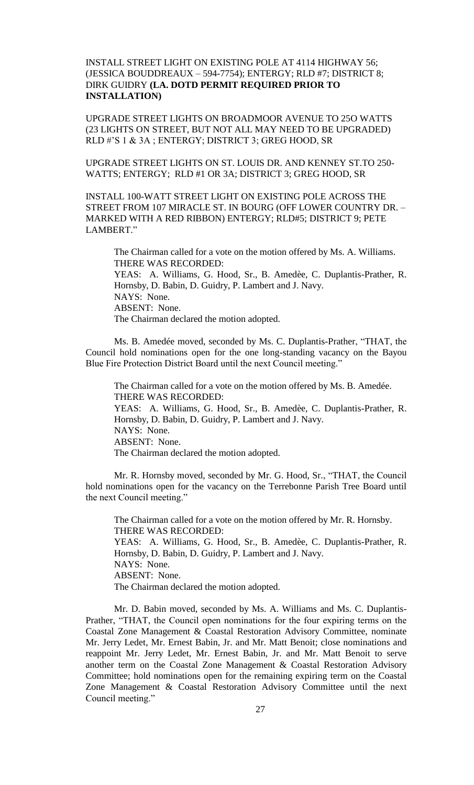INSTALL STREET LIGHT ON EXISTING POLE AT 4114 HIGHWAY 56; (JESSICA BOUDDREAUX – 594-7754); ENTERGY; RLD #7; DISTRICT 8; DIRK GUIDRY **(LA. DOTD PERMIT REQUIRED PRIOR TO INSTALLATION)**

UPGRADE STREET LIGHTS ON BROADMOOR AVENUE TO 25O WATTS (23 LIGHTS ON STREET, BUT NOT ALL MAY NEED TO BE UPGRADED) RLD #'S 1 & 3A ; ENTERGY; DISTRICT 3; GREG HOOD, SR

UPGRADE STREET LIGHTS ON ST. LOUIS DR. AND KENNEY ST.TO 250- WATTS; ENTERGY; RLD #1 OR 3A; DISTRICT 3; GREG HOOD, SR

INSTALL 100-WATT STREET LIGHT ON EXISTING POLE ACROSS THE STREET FROM 107 MIRACLE ST. IN BOURG (OFF LOWER COUNTRY DR. – MARKED WITH A RED RIBBON) ENTERGY; RLD#5; DISTRICT 9; PETE LAMBERT."

The Chairman called for a vote on the motion offered by Ms. A. Williams. THERE WAS RECORDED: YEAS: A. Williams, G. Hood, Sr., B. Amedèe, C. Duplantis-Prather, R. Hornsby, D. Babin, D. Guidry, P. Lambert and J. Navy. NAYS: None. ABSENT: None. The Chairman declared the motion adopted.

Ms. B. Amedée moved, seconded by Ms. C. Duplantis-Prather, "THAT, the Council hold nominations open for the one long-standing vacancy on the Bayou Blue Fire Protection District Board until the next Council meeting."

The Chairman called for a vote on the motion offered by Ms. B. Amedée. THERE WAS RECORDED: YEAS: A. Williams, G. Hood, Sr., B. Amedèe, C. Duplantis-Prather, R. Hornsby, D. Babin, D. Guidry, P. Lambert and J. Navy. NAYS: None. ABSENT: None. The Chairman declared the motion adopted.

Mr. R. Hornsby moved, seconded by Mr. G. Hood, Sr., "THAT, the Council hold nominations open for the vacancy on the Terrebonne Parish Tree Board until the next Council meeting."

The Chairman called for a vote on the motion offered by Mr. R. Hornsby. THERE WAS RECORDED: YEAS: A. Williams, G. Hood, Sr., B. Amedèe, C. Duplantis-Prather, R. Hornsby, D. Babin, D. Guidry, P. Lambert and J. Navy. NAYS: None. ABSENT: None. The Chairman declared the motion adopted.

Mr. D. Babin moved, seconded by Ms. A. Williams and Ms. C. Duplantis-Prather, "THAT, the Council open nominations for the four expiring terms on the Coastal Zone Management & Coastal Restoration Advisory Committee, nominate Mr. Jerry Ledet, Mr. Ernest Babin, Jr. and Mr. Matt Benoit; close nominations and reappoint Mr. Jerry Ledet, Mr. Ernest Babin, Jr. and Mr. Matt Benoit to serve another term on the Coastal Zone Management & Coastal Restoration Advisory Committee; hold nominations open for the remaining expiring term on the Coastal Zone Management & Coastal Restoration Advisory Committee until the next Council meeting."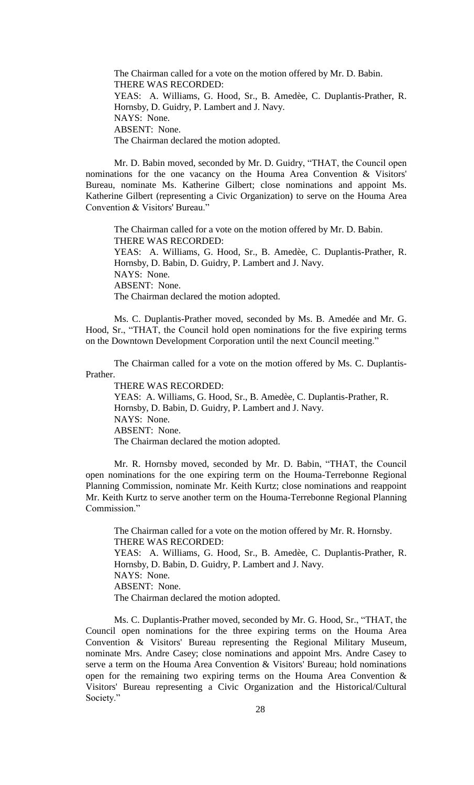The Chairman called for a vote on the motion offered by Mr. D. Babin. THERE WAS RECORDED: YEAS: A. Williams, G. Hood, Sr., B. Amedèe, C. Duplantis-Prather, R. Hornsby, D. Guidry, P. Lambert and J. Navy. NAYS: None. ABSENT: None. The Chairman declared the motion adopted.

Mr. D. Babin moved, seconded by Mr. D. Guidry, "THAT, the Council open nominations for the one vacancy on the Houma Area Convention & Visitors' Bureau, nominate Ms. Katherine Gilbert; close nominations and appoint Ms. Katherine Gilbert (representing a Civic Organization) to serve on the Houma Area Convention & Visitors' Bureau."

The Chairman called for a vote on the motion offered by Mr. D. Babin. THERE WAS RECORDED: YEAS: A. Williams, G. Hood, Sr., B. Amedèe, C. Duplantis-Prather, R. Hornsby, D. Babin, D. Guidry, P. Lambert and J. Navy. NAYS: None. ABSENT: None. The Chairman declared the motion adopted.

Ms. C. Duplantis-Prather moved, seconded by Ms. B. Amedée and Mr. G. Hood, Sr., "THAT, the Council hold open nominations for the five expiring terms on the Downtown Development Corporation until the next Council meeting."

The Chairman called for a vote on the motion offered by Ms. C. Duplantis-Prather.

THERE WAS RECORDED:

YEAS: A. Williams, G. Hood, Sr., B. Amedèe, C. Duplantis-Prather, R. Hornsby, D. Babin, D. Guidry, P. Lambert and J. Navy. NAYS: None. ABSENT: None. The Chairman declared the motion adopted.

Mr. R. Hornsby moved, seconded by Mr. D. Babin, "THAT, the Council open nominations for the one expiring term on the Houma-Terrebonne Regional Planning Commission, nominate Mr. Keith Kurtz; close nominations and reappoint Mr. Keith Kurtz to serve another term on the Houma-Terrebonne Regional Planning Commission<sup>"</sup>

The Chairman called for a vote on the motion offered by Mr. R. Hornsby. THERE WAS RECORDED: YEAS: A. Williams, G. Hood, Sr., B. Amedèe, C. Duplantis-Prather, R. Hornsby, D. Babin, D. Guidry, P. Lambert and J. Navy. NAYS: None. ABSENT: None. The Chairman declared the motion adopted.

Ms. C. Duplantis-Prather moved, seconded by Mr. G. Hood, Sr., "THAT, the Council open nominations for the three expiring terms on the Houma Area Convention & Visitors' Bureau representing the Regional Military Museum, nominate Mrs. Andre Casey; close nominations and appoint Mrs. Andre Casey to serve a term on the Houma Area Convention & Visitors' Bureau; hold nominations open for the remaining two expiring terms on the Houma Area Convention & Visitors' Bureau representing a Civic Organization and the Historical/Cultural Society."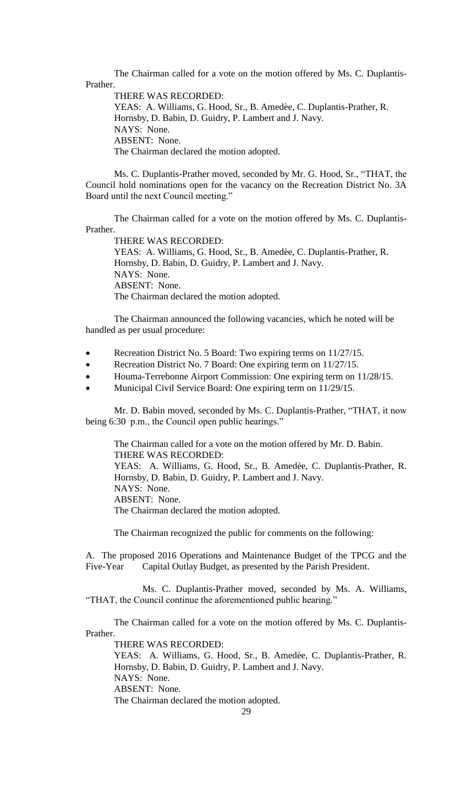The Chairman called for a vote on the motion offered by Ms. C. Duplantis-Prather.

THERE WAS RECORDED: YEAS: A. Williams, G. Hood, Sr., B. Amedèe, C. Duplantis-Prather, R. Hornsby, D. Babin, D. Guidry, P. Lambert and J. Navy. NAYS: None. ABSENT: None. The Chairman declared the motion adopted.

Ms. C. Duplantis-Prather moved, seconded by Mr. G. Hood, Sr., "THAT, the Council hold nominations open for the vacancy on the Recreation District No. 3A Board until the next Council meeting."

The Chairman called for a vote on the motion offered by Ms. C. Duplantis-Prather.

THERE WAS RECORDED: YEAS: A. Williams, G. Hood, Sr., B. Amedèe, C. Duplantis-Prather, R. Hornsby, D. Babin, D. Guidry, P. Lambert and J. Navy. NAYS: None. ABSENT: None. The Chairman declared the motion adopted.

The Chairman announced the following vacancies, which he noted will be handled as per usual procedure:

- Recreation District No. 5 Board: Two expiring terms on 11/27/15.
- Recreation District No. 7 Board: One expiring term on 11/27/15.
- Houma-Terrebonne Airport Commission: One expiring term on 11/28/15.
- Municipal Civil Service Board: One expiring term on 11/29/15.

Mr. D. Babin moved, seconded by Ms. C. Duplantis-Prather, "THAT, it now being 6:30 p.m., the Council open public hearings."

The Chairman called for a vote on the motion offered by Mr. D. Babin. THERE WAS RECORDED: YEAS: A. Williams, G. Hood, Sr., B. Amedèe, C. Duplantis-Prather, R. Hornsby, D. Babin, D. Guidry, P. Lambert and J. Navy. NAYS: None. ABSENT: None. The Chairman declared the motion adopted.

The Chairman recognized the public for comments on the following:

A. The proposed 2016 Operations and Maintenance Budget of the TPCG and the Five-Year Capital Outlay Budget, as presented by the Parish President.

Ms. C. Duplantis-Prather moved, seconded by Ms. A. Williams, "THAT, the Council continue the aforementioned public hearing."

The Chairman called for a vote on the motion offered by Ms. C. Duplantis-Prather.

THERE WAS RECORDED:

YEAS: A. Williams, G. Hood, Sr., B. Amedèe, C. Duplantis-Prather, R. Hornsby, D. Babin, D. Guidry, P. Lambert and J. Navy. NAYS: None. ABSENT: None. The Chairman declared the motion adopted.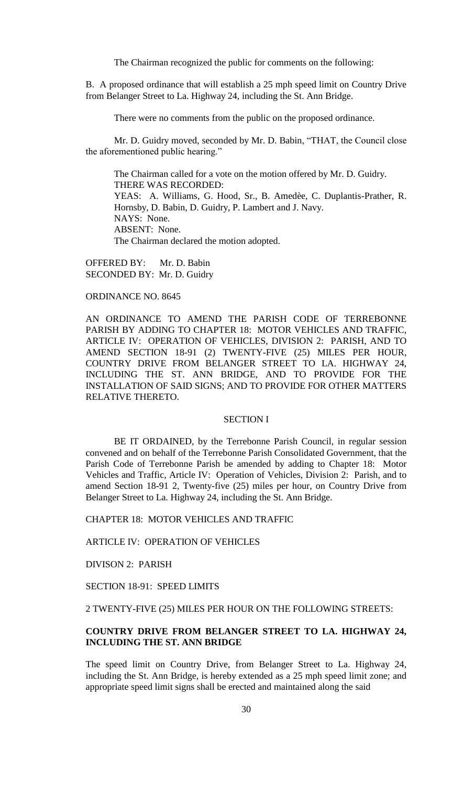The Chairman recognized the public for comments on the following:

B. A proposed ordinance that will establish a 25 mph speed limit on Country Drive from Belanger Street to La. Highway 24, including the St. Ann Bridge.

There were no comments from the public on the proposed ordinance.

Mr. D. Guidry moved, seconded by Mr. D. Babin, "THAT, the Council close the aforementioned public hearing."

The Chairman called for a vote on the motion offered by Mr. D. Guidry. THERE WAS RECORDED: YEAS: A. Williams, G. Hood, Sr., B. Amedèe, C. Duplantis-Prather, R. Hornsby, D. Babin, D. Guidry, P. Lambert and J. Navy. NAYS: None. ABSENT: None. The Chairman declared the motion adopted.

OFFERED BY: Mr. D. Babin SECONDED BY: Mr. D. Guidry

### ORDINANCE NO. 8645

AN ORDINANCE TO AMEND THE PARISH CODE OF TERREBONNE PARISH BY ADDING TO CHAPTER 18: MOTOR VEHICLES AND TRAFFIC, ARTICLE IV: OPERATION OF VEHICLES, DIVISION 2: PARISH, AND TO AMEND SECTION 18-91 (2) TWENTY-FIVE (25) MILES PER HOUR, COUNTRY DRIVE FROM BELANGER STREET TO LA. HIGHWAY 24, INCLUDING THE ST. ANN BRIDGE, AND TO PROVIDE FOR THE INSTALLATION OF SAID SIGNS; AND TO PROVIDE FOR OTHER MATTERS RELATIVE THERETO.

## SECTION I

BE IT ORDAINED, by the Terrebonne Parish Council, in regular session convened and on behalf of the Terrebonne Parish Consolidated Government, that the Parish Code of Terrebonne Parish be amended by adding to Chapter 18: Motor Vehicles and Traffic, Article IV: Operation of Vehicles, Division 2: Parish, and to amend Section 18-91 2, Twenty-five (25) miles per hour, on Country Drive from Belanger Street to La. Highway 24, including the St. Ann Bridge.

CHAPTER 18: MOTOR VEHICLES AND TRAFFIC

ARTICLE IV: OPERATION OF VEHICLES

DIVISON 2: PARISH

SECTION 18-91: SPEED LIMITS

2 TWENTY-FIVE (25) MILES PER HOUR ON THE FOLLOWING STREETS:

# **COUNTRY DRIVE FROM BELANGER STREET TO LA. HIGHWAY 24, INCLUDING THE ST. ANN BRIDGE**

The speed limit on Country Drive, from Belanger Street to La. Highway 24, including the St. Ann Bridge, is hereby extended as a 25 mph speed limit zone; and appropriate speed limit signs shall be erected and maintained along the said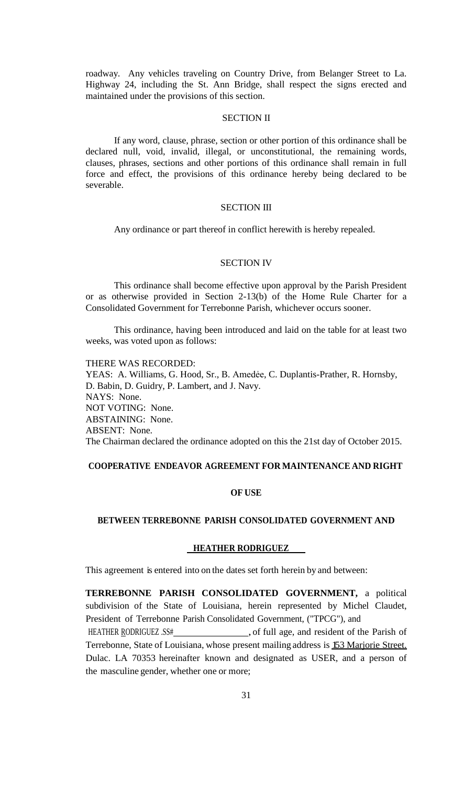roadway. Any vehicles traveling on Country Drive, from Belanger Street to La. Highway 24, including the St. Ann Bridge, shall respect the signs erected and maintained under the provisions of this section.

#### SECTION II

If any word, clause, phrase, section or other portion of this ordinance shall be declared null, void, invalid, illegal, or unconstitutional, the remaining words, clauses, phrases, sections and other portions of this ordinance shall remain in full force and effect, the provisions of this ordinance hereby being declared to be severable.

#### SECTION III

Any ordinance or part thereof in conflict herewith is hereby repealed.

### SECTION IV

This ordinance shall become effective upon approval by the Parish President or as otherwise provided in Section 2-13(b) of the Home Rule Charter for a Consolidated Government for Terrebonne Parish, whichever occurs sooner.

This ordinance, having been introduced and laid on the table for at least two weeks, was voted upon as follows:

THERE WAS RECORDED: YEAS: A. Williams, G. Hood, Sr., B. Amedėe, C. Duplantis-Prather, R. Hornsby, D. Babin, D. Guidry, P. Lambert, and J. Navy. NAYS: None. NOT VOTING: None. ABSTAINING: None. ABSENT: None. The Chairman declared the ordinance adopted on this the 21st day of October 2015.

### **COOPERATIVE ENDEAVOR AGREEMENT FOR MAINTENANCE AND RIGHT**

#### **OF USE**

#### **BETWEEN TERREBONNE PARISH CONSOLIDATED GOVERNMENT AND**

### **HEATHER RODRIGUEZ**

This agreement is entered into on the dates set forth herein by and between:

**TERREBONNE PARISH CONSOLIDATED GOVERNMENT,** a political subdivision of the State of Louisiana, herein represented by Michel Claudet, President of Terrebonne Parish Consolidated Government, ("TPCG"), and

HEATHER RODRIGUEZ .SS#
(1992), of full age, and resident of the Parish of Terrebonne, State of Louisiana, whose present mailing address is 153 Marjorie Street. Dulac. LA 70353 hereinafter known and designated as USER, and a person of the masculine gender, whether one or more;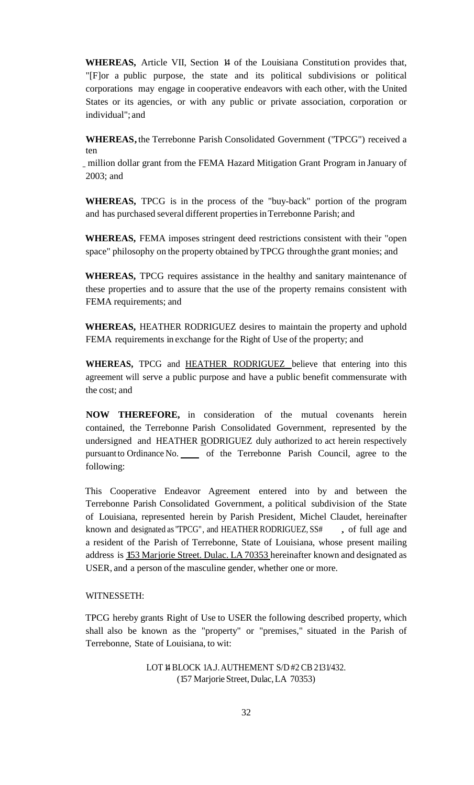**WHEREAS,** Article VII, Section 14 of the Louisiana Constitution provides that, "[F]or a public purpose, the state and its political subdivisions or political corporations may engage in cooperative endeavors with each other, with the United States or its agencies, or with any public or private association, corporation or individual"; and

**WHEREAS,** the Terrebonne Parish Consolidated Government ("TPCG") received a ten

\_ million dollar grant from the FEMA Hazard Mitigation Grant Program in January of 2003; and

**WHEREAS,** TPCG is in the process of the "buy-back" portion of the program and has purchased several different propertiesinTerrebonne Parish; and

**WHEREAS,** FEMA imposes stringent deed restrictions consistent with their "open space" philosophy on the property obtained byTPCG throughthe grant monies; and

**WHEREAS,** TPCG requires assistance in the healthy and sanitary maintenance of these properties and to assure that the use of the property remains consistent with FEMA requirements; and

**WHEREAS,** HEATHER RODRIGUEZ desires to maintain the property and uphold FEMA requirements in exchange for the Right of Use of the property; and

**WHEREAS,** TPCG and HEATHER RODRIGUEZ believe that entering into this agreement will serve a public purpose and have a public benefit commensurate with the cost; and

**NOW THEREFORE,** in consideration of the mutual covenants herein contained, the Terrebonne Parish Consolidated Government, represented by the undersigned and HEATHER RODRIGUEZ duly authorized to act herein respectively pursuant to Ordinance No. of the Terrebonne Parish Council, agree to the following:

This Cooperative Endeavor Agreement entered into by and between the Terrebonne Parish Consolidated Government, a political subdivision of the State of Louisiana, represented herein by Parish President, Michel Claudet, hereinafter known and designated as "TPCG", and HEATHER RODRIGUEZ, SS#, of full age and a resident of the Parish of Terrebonne, State of Louisiana, whose present mailing address is 153 Marjorie Street. Dulac. LA <sup>70353</sup> hereinafter known and designated as USER, and a person of the masculine gender, whether one or more.

# WITNESSETH:

TPCG hereby grants Right of Use to USER the following described property, which shall also be known as the "property" or "premises," situated in the Parish of Terrebonne, State of Louisiana, to wit:

> LOT 4 BLOCK 1A.J. AUTHEMENT S/D #2 CB 2131/432. (157 Marjorie Street, Dulac,LA 70353)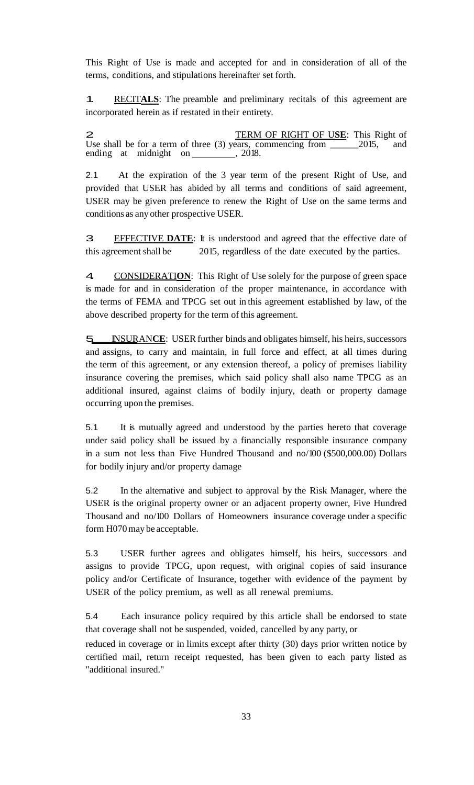This Right of Use is made and accepted for and in consideration of all of the terms, conditions, and stipulations hereinafter set forth.

1. RECIT**ALS**: The preamble and preliminary recitals of this agreement are incorporated herein as if restated in their entirety.

**2.** TERM OF RIGHT OF USE: This Right of Use shall be for a term of three (3) years, commencing from 2015, and Use shall be for a term of three  $(3)$  years, commencing from ending at midnight on 1880 m.

2.1 At the expiration of the 3 year term of the present Right of Use, and provided that USER has abided by all terms and conditions of said agreement, USER may be given preference to renew the Right of Use on the same terms and conditions as any other prospective USER.

3. EFFECTIVE **DATE**: It is understood and agreed that the effective date of this agreement shall be 2015, regardless of the date executed by the parties.

4 CONSIDERATION: This Right of Use solely for the purpose of green space is made for and in consideration of the proper maintenance, in accordance with the terms of FEMA and TPCG set out in this agreement established by law, of the above described property for the term of this agreement.

**5.** INSURANCE: USER further binds and obligates himself, his heirs, successors and assigns, to carry and maintain, in full force and effect, at all times during the term of this agreement, or any extension thereof, a policy of premises liability insurance covering the premises, which said policy shall also name TPCG as an additional insured, against claims of bodily injury, death or property damage occurring upon the premises.

5.1 It is mutually agreed and understood by the parties hereto that coverage under said policy shall be issued by a financially responsible insurance company in a sum not less than Five Hundred Thousand and no/100 (\$500,000.00) Dollars for bodily injury and/or property damage

5.2 In the alternative and subject to approval by the Risk Manager, where the USER is the original property owner or an adjacent property owner, Five Hundred Thousand and no/100 Dollars of Homeowners insurance coverage under a specific form H070may be acceptable.

5.3 USER further agrees and obligates himself, his heirs, successors and assigns to provide TPCG, upon request, with original copies of said insurance policy and/or Certificate of Insurance, together with evidence of the payment by USER of the policy premium, as well as all renewal premiums.

5.4 Each insurance policy required by this article shall be endorsed to state that coverage shall not be suspended, voided, cancelled by any party, or

reduced in coverage or in limits except after thirty (30) days prior written notice by certified mail, return receipt requested, has been given to each party listed as "additional insured."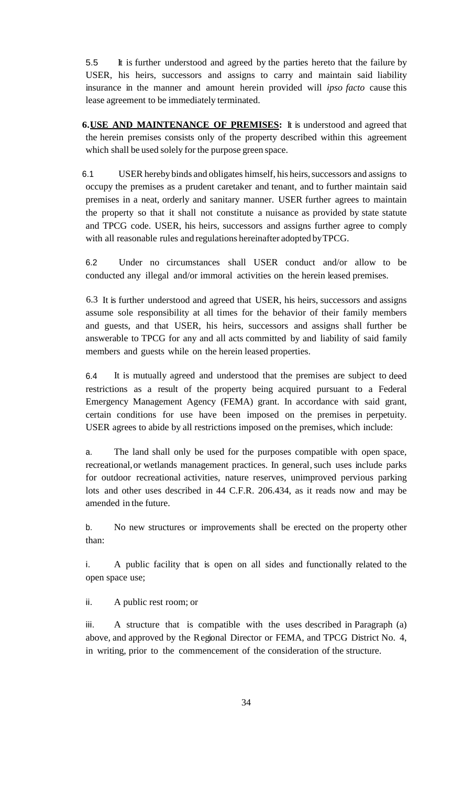5.5 It is further understood and agreed by the parties hereto that the failure by USER, his heirs, successors and assigns to carry and maintain said liability insurance in the manner and amount herein provided will *ipso facto* cause this lease agreement to be immediately terminated.

**6.USE AND MAINTENANCE OF PREMISES:** It is understood and agreed that the herein premises consists only of the property described within this agreement which shall be used solely for the purpose green space.

6.1 USER hereby binds and obligates himself, his heirs, successors and assigns to occupy the premises as a prudent caretaker and tenant, and to further maintain said premises in a neat, orderly and sanitary manner. USER further agrees to maintain the property so that it shall not constitute a nuisance as provided by state statute and TPCG code. USER, his heirs, successors and assigns further agree to comply with all reasonable rules and regulations hereinafter adopted byTPCG.

6.2 Under no circumstances shall USER conduct and/or allow to be conducted any illegal and/or immoral activities on the herein leased premises.

6.3 It is further understood and agreed that USER, his heirs, successors and assigns assume sole responsibility at all times for the behavior of their family members and guests, and that USER, his heirs, successors and assigns shall further be answerable to TPCG for any and all acts committed by and liability of said family members and guests while on the herein leased properties.

6.4 It is mutually agreed and understood that the premises are subject to deed restrictions as a result of the property being acquired pursuant to a Federal Emergency Management Agency (FEMA) grant. In accordance with said grant, certain conditions for use have been imposed on the premises in perpetuity. USER agrees to abide by all restrictions imposed on the premises, which include:

a. The land shall only be used for the purposes compatible with open space, recreational, or wetlands management practices. In general, such uses include parks for outdoor recreational activities, nature reserves, unimproved pervious parking lots and other uses described in 44 C.F.R. 206.434, as it reads now and may be amended in the future.

b. No new structures or improvements shall be erected on the property other than:

i. A public facility that is open on all sides and functionally related to the open space use;

ii. A public rest room; or

iii. A structure that is compatible with the uses described in Paragraph (a) above, and approved by the Regional Director or FEMA, and TPCG District No. 4, in writing, prior to the commencement of the consideration of the structure.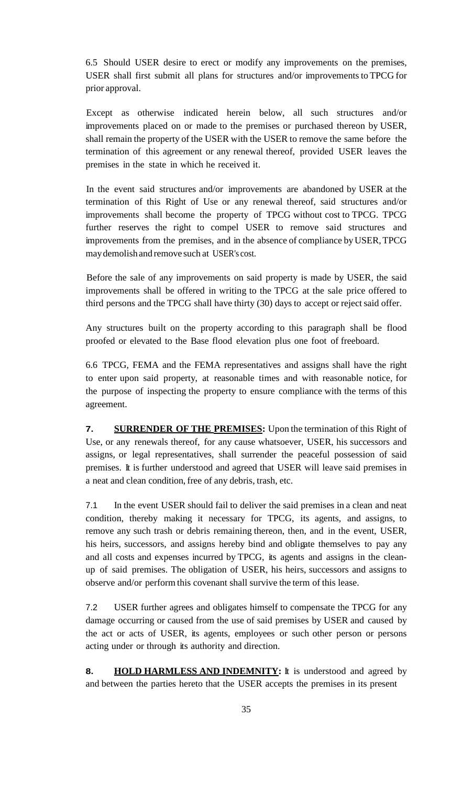6.5 Should USER desire to erect or modify any improvements on the premises, USER shall first submit all plans for structures and/or improvements to TPCG for prior approval.

Except as otherwise indicated herein below, all such structures and/or improvements placed on or made to the premises or purchased thereon by USER, shall remain the property of the USER with the USER to remove the same before the termination of this agreement or any renewal thereof, provided USER leaves the premises in the state in which he received it.

In the event said structures and/or improvements are abandoned by USER at the termination of this Right of Use or any renewal thereof, said structures and/or improvements shall become the property of TPCG without cost to TPCG. TPCG further reserves the right to compel USER to remove said structures and improvements from the premises, and in the absence of compliance byUSER,TPCG maydemolishand remove such at USER's cost.

Before the sale of any improvements on said property is made by USER, the said improvements shall be offered in writing to the TPCG at the sale price offered to third persons and the TPCG shall have thirty (30) days to accept or reject said offer.

Any structures built on the property according to this paragraph shall be flood proofed or elevated to the Base flood elevation plus one foot of freeboard.

6.6 TPCG, FEMA and the FEMA representatives and assigns shall have the right to enter upon said property, at reasonable times and with reasonable notice, for the purpose of inspecting the property to ensure compliance with the terms of this agreement.

**7. SURRENDER OF THE PREMISES:** Upon the termination of this Right of Use, or any renewals thereof, for any cause whatsoever, USER, his successors and assigns, or legal representatives, shall surrender the peaceful possession of said premises. It is further understood and agreed that USER will leave said premises in a neat and clean condition, free of any debris, trash, etc.

7.1 In the event USER should fail to deliver the said premises in a clean and neat condition, thereby making it necessary for TPCG, its agents, and assigns, to remove any such trash or debris remaining thereon, then, and in the event, USER, his heirs, successors, and assigns hereby bind and obligate themselves to pay any and all costs and expenses incurred by TPCG, its agents and assigns in the cleanup of said premises. The obligation of USER, his heirs, successors and assigns to observe and/or perform this covenant shall survive the term of this lease.

7.2 USER further agrees and obligates himself to compensate the TPCG for any damage occurring or caused from the use of said premises by USER and caused by the act or acts of USER, its agents, employees or such other person or persons acting under or through its authority and direction.

**8. HOLD HARMLESS AND INDEMNITY:** It is understood and agreed by and between the parties hereto that the USER accepts the premises in its present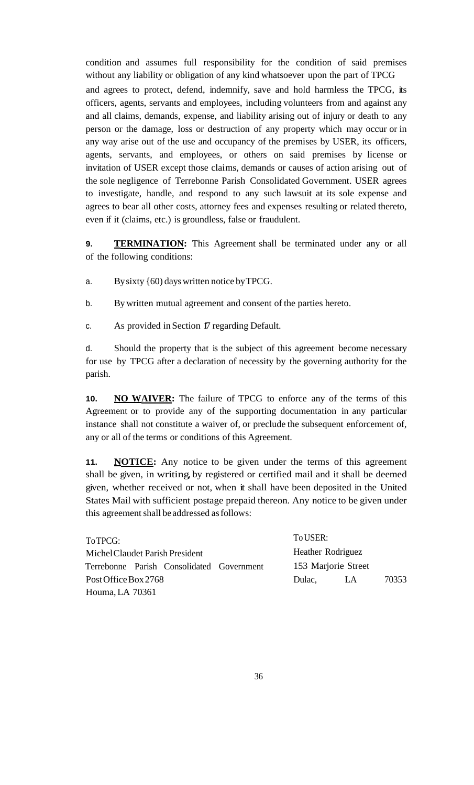condition and assumes full responsibility for the condition of said premises without any liability or obligation of any kind whatsoever upon the part of TPCG and agrees to protect, defend, indemnify, save and hold harmless the TPCG, its officers, agents, servants and employees, including volunteers from and against any and all claims, demands, expense, and liability arising out of injury or death to any person or the damage, loss or destruction of any property which may occur or in any way arise out of the use and occupancy of the premises by USER, its officers, agents, servants, and employees, or others on said premises by license or invitation of USER except those claims, demands or causes of action arising out of the sole negligence of Terrebonne Parish Consolidated Government. USER agrees to investigate, handle, and respond to any such lawsuit at its sole expense and agrees to bear all other costs, attorney fees and expenses resulting or related thereto, even if it (claims, etc.) is groundless, false or fraudulent.

**9. TERMINATION:** This Agreement shall be terminated under any or all of the following conditions:

- a. Bysixty {60) dayswritten notice byTPCG.
- b. By written mutual agreement and consent of the parties hereto.
- c. As provided in Section 17 regarding Default.

d. Should the property that is the subject of this agreement become necessary for use by TPCG after a declaration of necessity by the governing authority for the parish.

**10. NO WAIVER:** The failure of TPCG to enforce any of the terms of this Agreement or to provide any of the supporting documentation in any particular instance shall not constitute a waiver of, or preclude the subsequent enforcement of, any or all of the terms or conditions of this Agreement.

11. **NOTICE:** Any notice to be given under the terms of this agreement shall be given, in writing, by registered or certified mail and it shall be deemed given, whether received or not, when it shall have been deposited in the United States Mail with sufficient postage prepaid thereon. Any notice to be given under this agreement shall be addressed as follows:

| To TPCG:                        |  |                                           | To USER:            |     |       |
|---------------------------------|--|-------------------------------------------|---------------------|-----|-------|
| Michel Claudet Parish President |  |                                           | Heather Rodriguez   |     |       |
|                                 |  | Terrebonne Parish Consolidated Government | 153 Marjorie Street |     |       |
| Post Office Box 2768            |  |                                           | Dulac.              | LA. | 70353 |
| Houma, LA 70361                 |  |                                           |                     |     |       |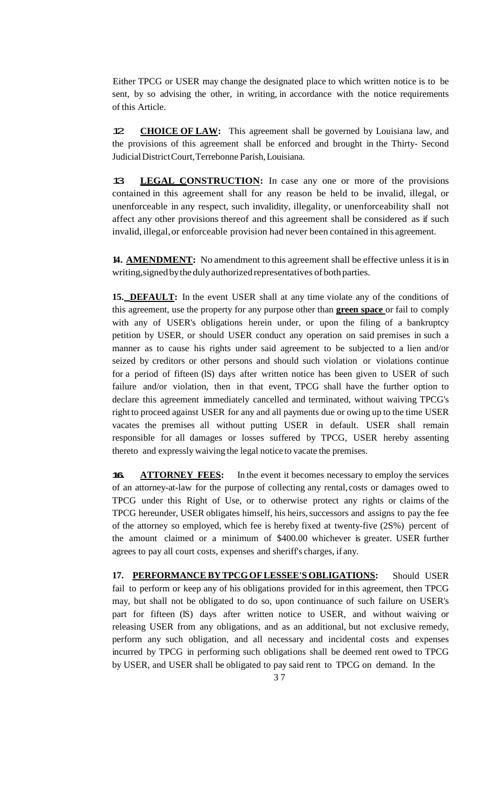Either TPCG or USER may change the designated place to which written notice is to be sent, by so advising the other, in writing, in accordance with the notice requirements of this Article.

12. **CHOICE OF LAW:** This agreement shall be governed by Louisiana law, and the provisions of this agreement shall be enforced and brought in the Thirty- Second JudicialDistrictCourt,Terrebonne Parish,Louisiana.

13. **LEGAL CONSTRUCTION:** In case any one or more of the provisions contained in this agreement shall for any reason be held to be invalid, illegal, or unenforceable in any respect, such invalidity, illegality, or unenforceability shall not affect any other provisions thereof and this agreement shall be considered as if such invalid, illegal,or enforceable provision had never been contained in this agreement.

**14. AMENDMENT:** No amendment to this agreement shall be effective unless it is in writing, signed by the duly authorized representatives of both parties.

**15. DEFAULT:** In the event USER shall at any time violate any of the conditions of this agreement, use the property for any purpose other than **green space** or fail to comply with any of USER's obligations herein under, or upon the filing of a bankruptcy petition by USER, or should USER conduct any operation on said premises in such a manner as to cause his rights under said agreement to be subjected to a lien and/or seized by creditors or other persons and should such violation or violations continue for a period of fifteen (lS) days after written notice has been given to USER of such failure and/or violation, then in that event, TPCG shall have the further option to declare this agreement immediately cancelled and terminated, without waiving TPCG's right to proceed against USER for any and all payments due or owing up to the time USER vacates the premises all without putting USER in default. USER shall remain responsible for all damages or losses suffered by TPCG, USER hereby assenting thereto and expressly waiving the legal notice to vacate the premises.

**16. ATTORNEY FEES:** In the event it becomes necessary to employ the services of an attorney-at-law for the purpose of collecting any rental, costs or damages owed to TPCG under this Right of Use, or to otherwise protect any rights or claims of the TPCG hereunder, USER obligates himself, his heirs, successors and assigns to pay the fee of the attorney so employed, which fee is hereby fixed at twenty-five (2S%) percent of the amount claimed or a minimum of \$400.00 whichever is greater. USER further agrees to pay all court costs, expenses and sheriff's charges, if any.

**17. PERFORMANCE BYTPCGOFLESSEE'S OBLIGATIONS:** Should USER fail to perform or keep any of his obligations provided for in this agreement, then TPCG may, but shall not be obligated to do so, upon continuance of such failure on USER's part for fifteen (IS) days after written notice to USER, and without waiving or releasing USER from any obligations, and as an additional, but not exclusive remedy, perform any such obligation, and all necessary and incidental costs and expenses incurred by TPCG in performing such obligations shall be deemed rent owed to TPCG by USER, and USER shall be obligated to pay said rent to TPCG on demand. In the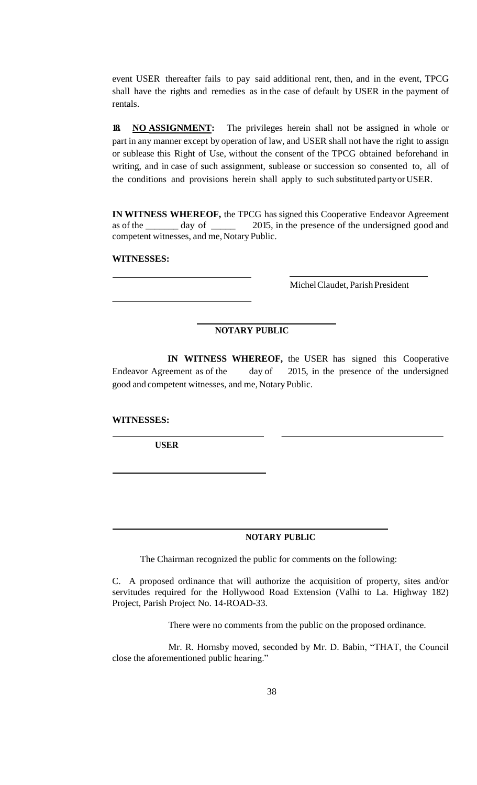event USER thereafter fails to pay said additional rent, then, and in the event, TPCG shall have the rights and remedies as in the case of default by USER in the payment of rentals.

**18. NO ASSIGNMENT:** The privileges herein shall not be assigned in whole or part in any manner except by operation of law, and USER shall not have the right to assign or sublease this Right of Use, without the consent of the TPCG obtained beforehand in writing, and in case of such assignment, sublease or succession so consented to, all of the conditions and provisions herein shall apply to such substituted partyorUSER.

**IN WITNESS WHEREOF,** the TPCG has signed this Cooperative Endeavor Agreement as of the day of  $\qquad$  2015, in the presence of the undersigned good and as of the \_\_\_\_\_\_\_ day of \_\_\_\_\_ 2015, in the presence of the undersigned good and competent witnesses, and me, Notary Public.

### **WITNESSES:**

Michel Claudet, Parish President

## **NOTARY PUBLIC**

**IN WITNESS WHEREOF,** the USER has signed this Cooperative Endeavor Agreement as of the day of 2015, in the presence of the undersigned good and competent witnesses, and me, Notary Public.

#### **WITNESSES:**

 **USER**

**NOTARY PUBLIC**

The Chairman recognized the public for comments on the following:

C. A proposed ordinance that will authorize the acquisition of property, sites and/or servitudes required for the Hollywood Road Extension (Valhi to La. Highway 182) Project, Parish Project No. 14-ROAD-33.

There were no comments from the public on the proposed ordinance.

Mr. R. Hornsby moved, seconded by Mr. D. Babin, "THAT, the Council close the aforementioned public hearing."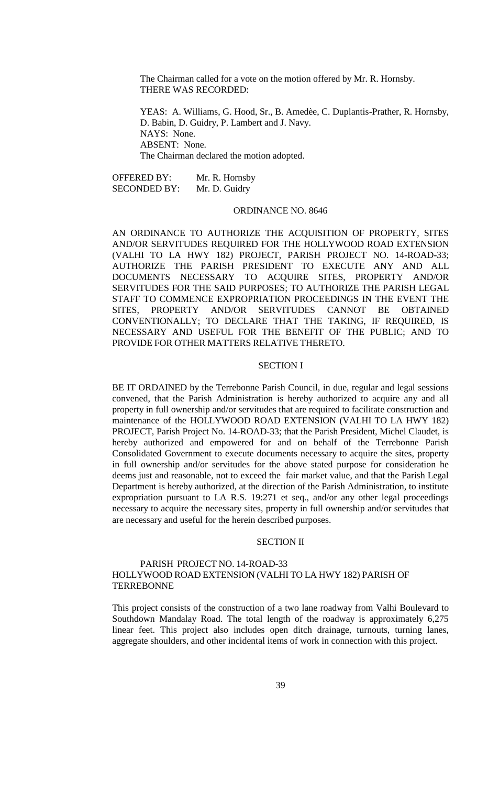The Chairman called for a vote on the motion offered by Mr. R. Hornsby. THERE WAS RECORDED:

YEAS: A. Williams, G. Hood, Sr., B. Amedèe, C. Duplantis-Prather, R. Hornsby, D. Babin, D. Guidry, P. Lambert and J. Navy. NAYS: None. ABSENT: None. The Chairman declared the motion adopted.

OFFERED BY: Mr. R. Hornsby SECONDED BY: Mr. D. Guidry

#### ORDINANCE NO. 8646

AN ORDINANCE TO AUTHORIZE THE ACQUISITION OF PROPERTY, SITES AND/OR SERVITUDES REQUIRED FOR THE HOLLYWOOD ROAD EXTENSION (VALHI TO LA HWY 182) PROJECT, PARISH PROJECT NO. 14-ROAD-33; AUTHORIZE THE PARISH PRESIDENT TO EXECUTE ANY AND ALL DOCUMENTS NECESSARY TO ACQUIRE SITES, PROPERTY AND/OR SERVITUDES FOR THE SAID PURPOSES; TO AUTHORIZE THE PARISH LEGAL STAFF TO COMMENCE EXPROPRIATION PROCEEDINGS IN THE EVENT THE SITES, PROPERTY AND/OR SERVITUDES CANNOT BE OBTAINED CONVENTIONALLY; TO DECLARE THAT THE TAKING, IF REQUIRED, IS NECESSARY AND USEFUL FOR THE BENEFIT OF THE PUBLIC; AND TO PROVIDE FOR OTHER MATTERS RELATIVE THERETO.

### SECTION I

BE IT ORDAINED by the Terrebonne Parish Council, in due, regular and legal sessions convened, that the Parish Administration is hereby authorized to acquire any and all property in full ownership and/or servitudes that are required to facilitate construction and maintenance of the HOLLYWOOD ROAD EXTENSION (VALHI TO LA HWY 182) PROJECT, Parish Project No. 14-ROAD-33; that the Parish President, Michel Claudet, is hereby authorized and empowered for and on behalf of the Terrebonne Parish Consolidated Government to execute documents necessary to acquire the sites, property in full ownership and/or servitudes for the above stated purpose for consideration he deems just and reasonable, not to exceed the fair market value, and that the Parish Legal Department is hereby authorized, at the direction of the Parish Administration, to institute expropriation pursuant to LA R.S. 19:271 et seq., and/or any other legal proceedings necessary to acquire the necessary sites, property in full ownership and/or servitudes that are necessary and useful for the herein described purposes.

#### SECTION II

## PARISH PROJECT NO. 14-ROAD-33 HOLLYWOOD ROAD EXTENSION (VALHI TO LA HWY 182) PARISH OF **TERREBONNE**

This project consists of the construction of a two lane roadway from Valhi Boulevard to Southdown Mandalay Road. The total length of the roadway is approximately 6,275 linear feet. This project also includes open ditch drainage, turnouts, turning lanes, aggregate shoulders, and other incidental items of work in connection with this project.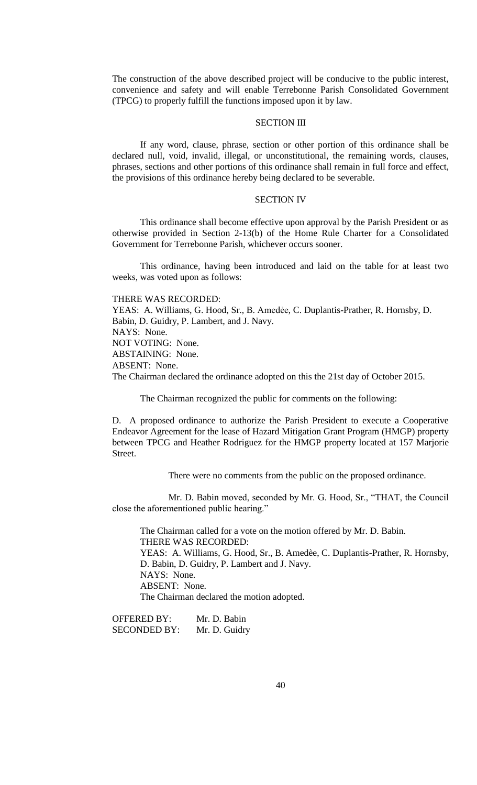The construction of the above described project will be conducive to the public interest, convenience and safety and will enable Terrebonne Parish Consolidated Government (TPCG) to properly fulfill the functions imposed upon it by law.

## SECTION III

If any word, clause, phrase, section or other portion of this ordinance shall be declared null, void, invalid, illegal, or unconstitutional, the remaining words, clauses, phrases, sections and other portions of this ordinance shall remain in full force and effect, the provisions of this ordinance hereby being declared to be severable.

### SECTION IV

This ordinance shall become effective upon approval by the Parish President or as otherwise provided in Section 2-13(b) of the Home Rule Charter for a Consolidated Government for Terrebonne Parish, whichever occurs sooner.

This ordinance, having been introduced and laid on the table for at least two weeks, was voted upon as follows:

THERE WAS RECORDED: YEAS: A. Williams, G. Hood, Sr., B. Amedee, C. Duplantis-Prather, R. Hornsby, D. Babin, D. Guidry, P. Lambert, and J. Navy. NAYS: None. NOT VOTING: None. ABSTAINING: None. ABSENT: None. The Chairman declared the ordinance adopted on this the 21st day of October 2015.

The Chairman recognized the public for comments on the following:

D. A proposed ordinance to authorize the Parish President to execute a Cooperative Endeavor Agreement for the lease of Hazard Mitigation Grant Program (HMGP) property between TPCG and Heather Rodriguez for the HMGP property located at 157 Marjorie Street.

There were no comments from the public on the proposed ordinance.

Mr. D. Babin moved, seconded by Mr. G. Hood, Sr., "THAT, the Council close the aforementioned public hearing."

The Chairman called for a vote on the motion offered by Mr. D. Babin. THERE WAS RECORDED: YEAS: A. Williams, G. Hood, Sr., B. Amedèe, C. Duplantis-Prather, R. Hornsby, D. Babin, D. Guidry, P. Lambert and J. Navy. NAYS: None. ABSENT: None. The Chairman declared the motion adopted.

OFFERED BY: Mr. D. Babin SECONDED BY: Mr. D. Guidry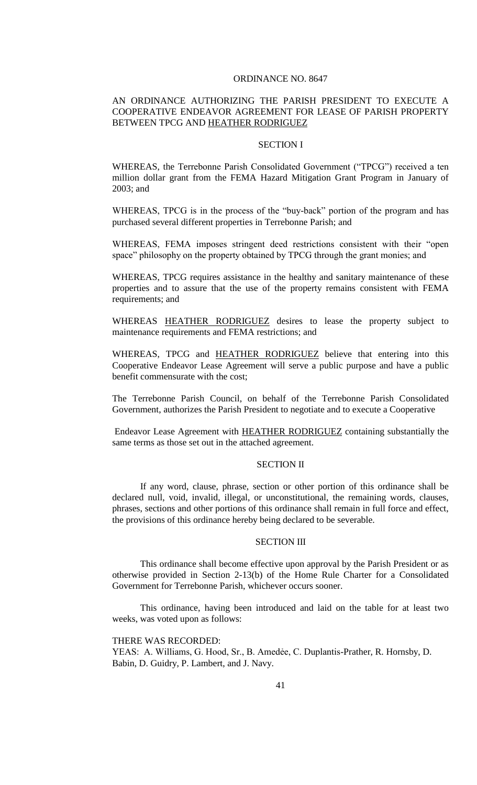#### ORDINANCE NO. 8647

## AN ORDINANCE AUTHORIZING THE PARISH PRESIDENT TO EXECUTE A COOPERATIVE ENDEAVOR AGREEMENT FOR LEASE OF PARISH PROPERTY BETWEEN TPCG AND HEATHER RODRIGUEZ

### SECTION I

WHEREAS, the Terrebonne Parish Consolidated Government ("TPCG") received a ten million dollar grant from the FEMA Hazard Mitigation Grant Program in January of 2003; and

WHEREAS, TPCG is in the process of the "buy-back" portion of the program and has purchased several different properties in Terrebonne Parish; and

WHEREAS, FEMA imposes stringent deed restrictions consistent with their "open space" philosophy on the property obtained by TPCG through the grant monies; and

WHEREAS, TPCG requires assistance in the healthy and sanitary maintenance of these properties and to assure that the use of the property remains consistent with FEMA requirements; and

WHEREAS HEATHER RODRIGUEZ desires to lease the property subject to maintenance requirements and FEMA restrictions; and

WHEREAS, TPCG and HEATHER RODRIGUEZ believe that entering into this Cooperative Endeavor Lease Agreement will serve a public purpose and have a public benefit commensurate with the cost;

The Terrebonne Parish Council, on behalf of the Terrebonne Parish Consolidated Government, authorizes the Parish President to negotiate and to execute a Cooperative

Endeavor Lease Agreement with HEATHER RODRIGUEZ containing substantially the same terms as those set out in the attached agreement.

#### SECTION II

If any word, clause, phrase, section or other portion of this ordinance shall be declared null, void, invalid, illegal, or unconstitutional, the remaining words, clauses, phrases, sections and other portions of this ordinance shall remain in full force and effect, the provisions of this ordinance hereby being declared to be severable.

#### SECTION III

This ordinance shall become effective upon approval by the Parish President or as otherwise provided in Section 2-13(b) of the Home Rule Charter for a Consolidated Government for Terrebonne Parish, whichever occurs sooner.

This ordinance, having been introduced and laid on the table for at least two weeks, was voted upon as follows:

#### THERE WAS RECORDED:

YEAS: A. Williams, G. Hood, Sr., B. Amedėe, C. Duplantis-Prather, R. Hornsby, D. Babin, D. Guidry, P. Lambert, and J. Navy.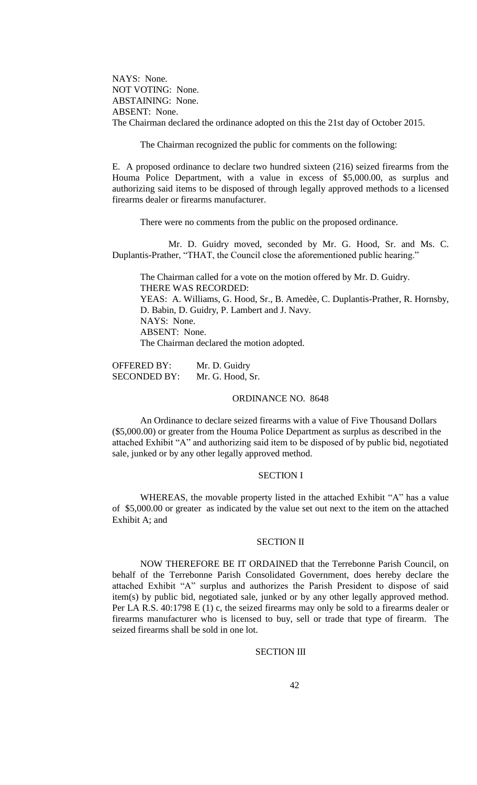NAYS: None. NOT VOTING: None. ABSTAINING: None. ABSENT: None. The Chairman declared the ordinance adopted on this the 21st day of October 2015.

The Chairman recognized the public for comments on the following:

E. A proposed ordinance to declare two hundred sixteen (216) seized firearms from the Houma Police Department, with a value in excess of \$5,000.00, as surplus and authorizing said items to be disposed of through legally approved methods to a licensed firearms dealer or firearms manufacturer.

There were no comments from the public on the proposed ordinance.

Mr. D. Guidry moved, seconded by Mr. G. Hood, Sr. and Ms. C. Duplantis-Prather, "THAT, the Council close the aforementioned public hearing."

The Chairman called for a vote on the motion offered by Mr. D. Guidry. THERE WAS RECORDED: YEAS: A. Williams, G. Hood, Sr., B. Amedèe, C. Duplantis-Prather, R. Hornsby, D. Babin, D. Guidry, P. Lambert and J. Navy. NAYS: None. ABSENT: None. The Chairman declared the motion adopted.

OFFERED BY: Mr. D. Guidry SECONDED BY: Mr. G. Hood, Sr.

### ORDINANCE NO. 8648

An Ordinance to declare seized firearms with a value of Five Thousand Dollars (\$5,000.00) or greater from the Houma Police Department as surplus as described in the attached Exhibit "A" and authorizing said item to be disposed of by public bid, negotiated sale, junked or by any other legally approved method.

### SECTION I

WHEREAS, the movable property listed in the attached Exhibit "A" has a value of \$5,000.00 or greater as indicated by the value set out next to the item on the attached Exhibit A; and

#### SECTION II

NOW THEREFORE BE IT ORDAINED that the Terrebonne Parish Council, on behalf of the Terrebonne Parish Consolidated Government, does hereby declare the attached Exhibit "A" surplus and authorizes the Parish President to dispose of said item(s) by public bid, negotiated sale, junked or by any other legally approved method. Per LA R.S. 40:1798 E (1) c, the seized firearms may only be sold to a firearms dealer or firearms manufacturer who is licensed to buy, sell or trade that type of firearm. The seized firearms shall be sold in one lot.

#### SECTION III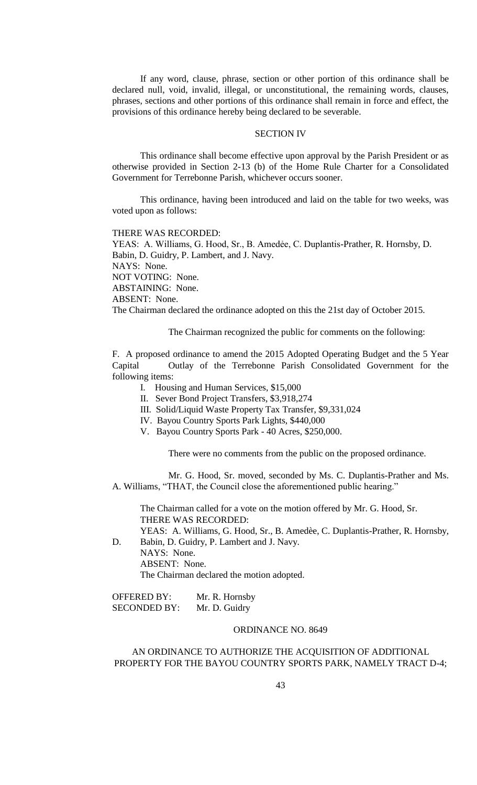If any word, clause, phrase, section or other portion of this ordinance shall be declared null, void, invalid, illegal, or unconstitutional, the remaining words, clauses, phrases, sections and other portions of this ordinance shall remain in force and effect, the provisions of this ordinance hereby being declared to be severable.

#### SECTION IV

This ordinance shall become effective upon approval by the Parish President or as otherwise provided in Section 2-13 (b) of the Home Rule Charter for a Consolidated Government for Terrebonne Parish, whichever occurs sooner.

This ordinance, having been introduced and laid on the table for two weeks, was voted upon as follows:

THERE WAS RECORDED:

YEAS: A. Williams, G. Hood, Sr., B. Amedėe, C. Duplantis-Prather, R. Hornsby, D. Babin, D. Guidry, P. Lambert, and J. Navy. NAYS: None. NOT VOTING: None. ABSTAINING: None. ABSENT: None. The Chairman declared the ordinance adopted on this the 21st day of October 2015.

The Chairman recognized the public for comments on the following:

F. A proposed ordinance to amend the 2015 Adopted Operating Budget and the 5 Year Capital Outlay of the Terrebonne Parish Consolidated Government for the following items:

- I. Housing and Human Services, \$15,000
- II. Sever Bond Project Transfers, \$3,918,274
- III. Solid/Liquid Waste Property Tax Transfer, \$9,331,024
- IV. Bayou Country Sports Park Lights, \$440,000
- V. Bayou Country Sports Park 40 Acres, \$250,000.

There were no comments from the public on the proposed ordinance.

Mr. G. Hood, Sr. moved, seconded by Ms. C. Duplantis-Prather and Ms. A. Williams, "THAT, the Council close the aforementioned public hearing."

The Chairman called for a vote on the motion offered by Mr. G. Hood, Sr. THERE WAS RECORDED:

YEAS: A. Williams, G. Hood, Sr., B. Amedèe, C. Duplantis-Prather, R. Hornsby, D. Babin, D. Guidry, P. Lambert and J. Navy.

NAYS: None. ABSENT: None. The Chairman declared the motion adopted.

| <b>OFFERED BY:</b>  | Mr. R. Hornsby |
|---------------------|----------------|
| <b>SECONDED BY:</b> | Mr. D. Guidry  |

### ORDINANCE NO. 8649

# AN ORDINANCE TO AUTHORIZE THE ACQUISITION OF ADDITIONAL PROPERTY FOR THE BAYOU COUNTRY SPORTS PARK, NAMELY TRACT D-4;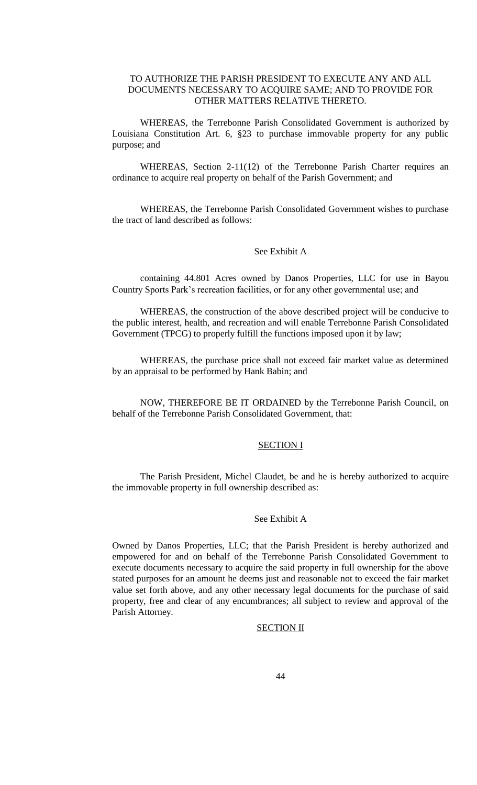## TO AUTHORIZE THE PARISH PRESIDENT TO EXECUTE ANY AND ALL DOCUMENTS NECESSARY TO ACQUIRE SAME; AND TO PROVIDE FOR OTHER MATTERS RELATIVE THERETO.

WHEREAS, the Terrebonne Parish Consolidated Government is authorized by Louisiana Constitution Art. 6, §23 to purchase immovable property for any public purpose; and

WHEREAS, Section 2-11(12) of the Terrebonne Parish Charter requires an ordinance to acquire real property on behalf of the Parish Government; and

WHEREAS, the Terrebonne Parish Consolidated Government wishes to purchase the tract of land described as follows:

#### See Exhibit A

containing 44.801 Acres owned by Danos Properties, LLC for use in Bayou Country Sports Park's recreation facilities, or for any other governmental use; and

WHEREAS, the construction of the above described project will be conducive to the public interest, health, and recreation and will enable Terrebonne Parish Consolidated Government (TPCG) to properly fulfill the functions imposed upon it by law;

WHEREAS, the purchase price shall not exceed fair market value as determined by an appraisal to be performed by Hank Babin; and

NOW, THEREFORE BE IT ORDAINED by the Terrebonne Parish Council, on behalf of the Terrebonne Parish Consolidated Government, that:

### SECTION I

The Parish President, Michel Claudet, be and he is hereby authorized to acquire the immovable property in full ownership described as:

### See Exhibit A

Owned by Danos Properties, LLC; that the Parish President is hereby authorized and empowered for and on behalf of the Terrebonne Parish Consolidated Government to execute documents necessary to acquire the said property in full ownership for the above stated purposes for an amount he deems just and reasonable not to exceed the fair market value set forth above, and any other necessary legal documents for the purchase of said property, free and clear of any encumbrances; all subject to review and approval of the Parish Attorney.

#### SECTION II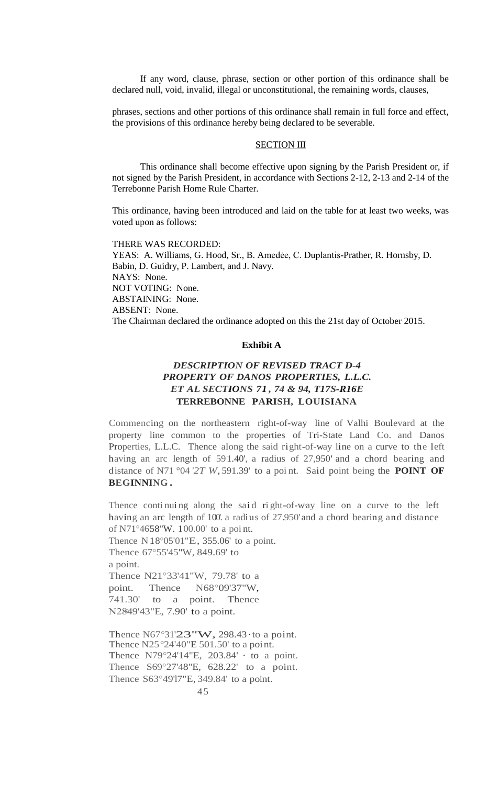If any word, clause, phrase, section or other portion of this ordinance shall be declared null, void, invalid, illegal or unconstitutional, the remaining words, clauses,

phrases, sections and other portions of this ordinance shall remain in full force and effect, the provisions of this ordinance hereby being declared to be severable.

## SECTION III

This ordinance shall become effective upon signing by the Parish President or, if not signed by the Parish President, in accordance with Sections 2-12, 2-13 and 2-14 of the Terrebonne Parish Home Rule Charter.

This ordinance, having been introduced and laid on the table for at least two weeks, was voted upon as follows:

THERE WAS RECORDED: YEAS: A. Williams, G. Hood, Sr., B. Amedėe, C. Duplantis-Prather, R. Hornsby, D. Babin, D. Guidry, P. Lambert, and J. Navy. NAYS: None. NOT VOTING: None. ABSTAINING: None. ABSENT: None. The Chairman declared the ordinance adopted on this the 21st day of October 2015.

## **Exhibit A**

# *DESCRIPTION OF REVISED TRACT D-4 PROPERTY OF DANOS PROPERTIES, L.L.C. ET AL SECTIONS 71 , 74 & 94, T17S-R16E* **TERREBONNE PARISH, LOUISIANA**

Commencing on the northeastern right-of-way line of Valhi Boulevard at the property line common to the properties of Tri-State Land Co. and Danos Properties, L.L.C. Thence along the said right-of-way line on a curve to the left having an arc length of 591.40', a radius of 27,950' and a chord bearing and distance of N71 °04 *'2T W,* 591.39' to a poi nt. Said point being the **POINT OF BEGINNING .**

Thence continuing along the said right-of-way line on a curve to the left having an arc length of 100. a radius of 27.950' and a chord bearing and distance of N71°46'58"W. 100.00' to a point.

Thence N18°05'01"E, 355.06' to a point. Thence 67°55'45"W, 849.69' to a point. Thence N21°33'41"W, 79.78' to a point. Thence N68°09'37"W, 741.30' to a point. Thence N2849'43"E, 7.90' to a point.

Thence N67°31'23"W, 298.43 to a point. Thence N25°24'40"E 501.50' to a point. Thence N79°24'14"E, 203.84' · to a point. Thence S69°27'48"E, 628.22' to a point. Thence S63°49'17"E, 349.84' to a point.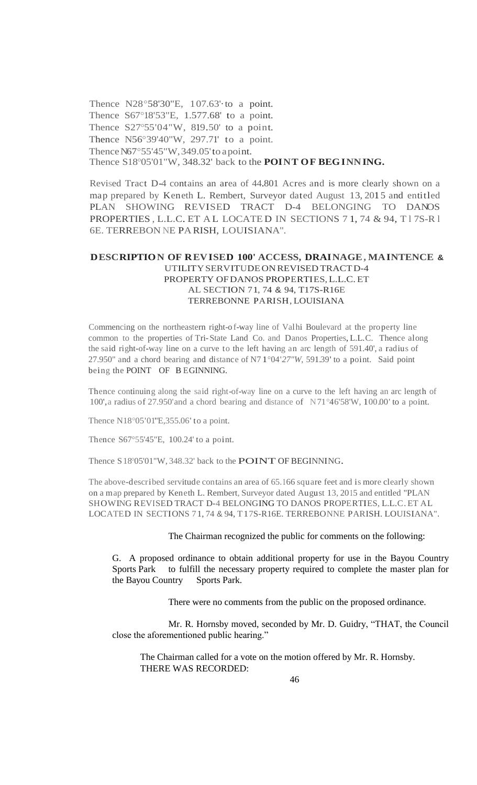Thence N28°58'30"E, 107.63'·to a point. Thence S67°18'53"E, 1.577.68' to a point. Thence S27°55'04"W, 819.50' to a point. Thence N56°39'40"W, 297.71' to a point. Thence N67°55'45"W, 349.05' to a point. Thence S18°05'01"W, 348.32' back to the **POINT OF BEGINNING.**

Revised Tract D-4 contains an area of 44.801 Acres and is more clearly shown on a map prepared by Keneth L. Rembert, Surveyor dated August 13, 201 5 and entitled PLAN SHOWING REVISED TRACT D-4 BELONGING TO DANOS PROPERTIES , L.L.C. ET A L LOCATE D IN SECTIONS 7 1, 74 & 94, T l 7S-R l 6E. TERREBON NE PARISH, LOUISIANA".

## **DESCRIPTION OF REVISED 100' ACCESS, DRAINAGE, MAINTENCE &** UTILITYSERVITUDEONREVISED TRACTD-4 PROPERTY OF DANOS PROPERTIES, L.L.C. ET AL SECTION 71, 74 & 94, T17S-R16E TERREBONNE PARISH, LOUISIANA

Commencing on the northeastern right-o f-way line of Valhi Boulevard at the property line common to the properties of Tri-State Land Co. and Danos Properties, L.L.C. Thence along the said right-of-way line on a curve to the left having an arc length of 591.40', a radius of 27.950" and a chord bearing and distance of N7 1°04'*27"W,* 591.39' to a point. Said point being the POINT OF B EGINNING.

Thence continuing along the said right-of-way line on a curve to the left having an arc length of 100',a radius of 27.950'and a chord bearing and distance of N71°46'58'W, 100.00' to a point.

Thence N18°05'01"E, 355.06' to a point.

Thence S67°55'45"E, 100.24' to a point.

Thence S18°05'01"W, 348.32' back to the POINT OF BEGINNING.

The above-described servitude contains an area of 65.166 square feet and is more clearly shown on a map prepared by Keneth L. Rembert, Surveyor dated August 13, 2015 and entitled "PLAN SHOWING REVISED TRACT D-4 BELONGING TO DANOS PROPERTIES, L.L.C. ET AL LOCATED IN SECTIONS 71, 74 & 94, T17S-R16E. TERREBONNE PARISH. LOUISIANA".

The Chairman recognized the public for comments on the following:

G. A proposed ordinance to obtain additional property for use in the Bayou Country Sports Park to fulfill the necessary property required to complete the master plan for the Bayou Country Sports Park.

There were no comments from the public on the proposed ordinance.

Mr. R. Hornsby moved, seconded by Mr. D. Guidry, "THAT, the Council close the aforementioned public hearing."

The Chairman called for a vote on the motion offered by Mr. R. Hornsby. THERE WAS RECORDED: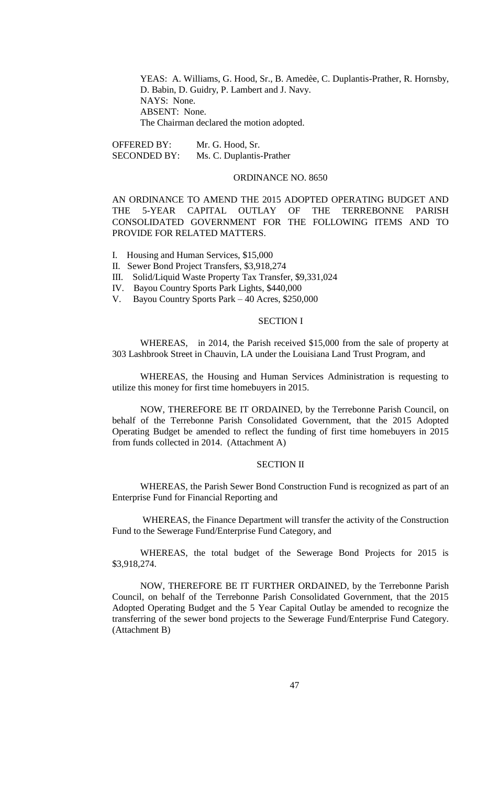YEAS: A. Williams, G. Hood, Sr., B. Amedèe, C. Duplantis-Prather, R. Hornsby, D. Babin, D. Guidry, P. Lambert and J. Navy. NAYS: None. ABSENT: None. The Chairman declared the motion adopted.

OFFERED BY: Mr. G. Hood, Sr. SECONDED BY: Ms. C. Duplantis-Prather

### ORDINANCE NO. 8650

AN ORDINANCE TO AMEND THE 2015 ADOPTED OPERATING BUDGET AND THE 5-YEAR CAPITAL OUTLAY OF THE TERREBONNE PARISH CONSOLIDATED GOVERNMENT FOR THE FOLLOWING ITEMS AND TO PROVIDE FOR RELATED MATTERS.

- I. Housing and Human Services, \$15,000
- II. Sewer Bond Project Transfers, \$3,918,274
- III. Solid/Liquid Waste Property Tax Transfer, \$9,331,024
- IV. Bayou Country Sports Park Lights, \$440,000
- V. Bayou Country Sports Park 40 Acres, \$250,000

#### SECTION I

WHEREAS, in 2014, the Parish received \$15,000 from the sale of property at 303 Lashbrook Street in Chauvin, LA under the Louisiana Land Trust Program, and

WHEREAS, the Housing and Human Services Administration is requesting to utilize this money for first time homebuyers in 2015.

NOW, THEREFORE BE IT ORDAINED, by the Terrebonne Parish Council, on behalf of the Terrebonne Parish Consolidated Government, that the 2015 Adopted Operating Budget be amended to reflect the funding of first time homebuyers in 2015 from funds collected in 2014. (Attachment A)

#### SECTION II

WHEREAS, the Parish Sewer Bond Construction Fund is recognized as part of an Enterprise Fund for Financial Reporting and

WHEREAS, the Finance Department will transfer the activity of the Construction Fund to the Sewerage Fund/Enterprise Fund Category, and

WHEREAS, the total budget of the Sewerage Bond Projects for 2015 is \$3,918,274.

NOW, THEREFORE BE IT FURTHER ORDAINED, by the Terrebonne Parish Council, on behalf of the Terrebonne Parish Consolidated Government, that the 2015 Adopted Operating Budget and the 5 Year Capital Outlay be amended to recognize the transferring of the sewer bond projects to the Sewerage Fund/Enterprise Fund Category. (Attachment B)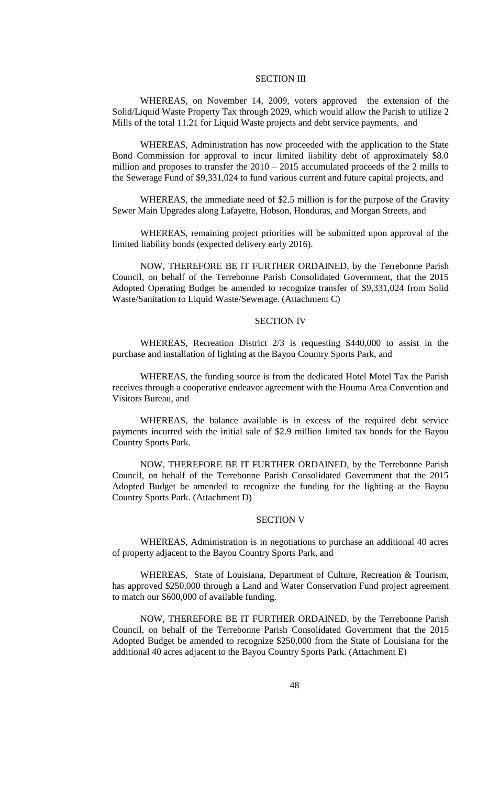### SECTION III

WHEREAS, on November 14, 2009, voters approved the extension of the Solid/Liquid Waste Property Tax through 2029, which would allow the Parish to utilize 2 Mills of the total 11.21 for Liquid Waste projects and debt service payments, and

WHEREAS, Administration has now proceeded with the application to the State Bond Commission for approval to incur limited liability debt of approximately \$8.0 million and proposes to transfer the  $2010 - 2015$  accumulated proceeds of the 2 mills to the Sewerage Fund of \$9,331,024 to fund various current and future capital projects, and

WHEREAS, the immediate need of \$2.5 million is for the purpose of the Gravity Sewer Main Upgrades along Lafayette, Hobson, Honduras, and Morgan Streets, and

WHEREAS, remaining project priorities will be submitted upon approval of the limited liability bonds (expected delivery early 2016).

NOW, THEREFORE BE IT FURTHER ORDAINED, by the Terrebonne Parish Council, on behalf of the Terrebonne Parish Consolidated Government, that the 2015 Adopted Operating Budget be amended to recognize transfer of \$9,331,024 from Solid Waste/Sanitation to Liquid Waste/Sewerage. (Attachment C)

#### SECTION IV

WHEREAS, Recreation District 2/3 is requesting \$440,000 to assist in the purchase and installation of lighting at the Bayou Country Sports Park, and

WHEREAS, the funding source is from the dedicated Hotel Motel Tax the Parish receives through a cooperative endeavor agreement with the Houma Area Convention and Visitors Bureau, and

WHEREAS, the balance available is in excess of the required debt service payments incurred with the initial sale of \$2.9 million limited tax bonds for the Bayou Country Sports Park.

NOW, THEREFORE BE IT FURTHER ORDAINED, by the Terrebonne Parish Council, on behalf of the Terrebonne Parish Consolidated Government that the 2015 Adopted Budget be amended to recognize the funding for the lighting at the Bayou Country Sports Park. (Attachment D)

#### SECTION V

WHEREAS, Administration is in negotiations to purchase an additional 40 acres of property adjacent to the Bayou Country Sports Park, and

WHEREAS, State of Louisiana, Department of Culture, Recreation & Tourism, has approved \$250,000 through a Land and Water Conservation Fund project agreement to match our \$600,000 of available funding.

NOW, THEREFORE BE IT FURTHER ORDAINED, by the Terrebonne Parish Council, on behalf of the Terrebonne Parish Consolidated Government that the 2015 Adopted Budget be amended to recognize \$250,000 from the State of Louisiana for the additional 40 acres adjacent to the Bayou Country Sports Park. (Attachment E)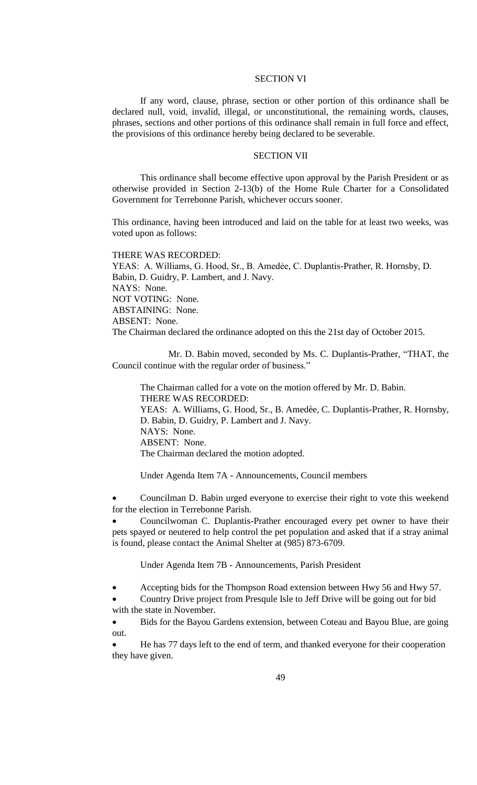### SECTION VI

If any word, clause, phrase, section or other portion of this ordinance shall be declared null, void, invalid, illegal, or unconstitutional, the remaining words, clauses, phrases, sections and other portions of this ordinance shall remain in full force and effect, the provisions of this ordinance hereby being declared to be severable.

## SECTION VII

This ordinance shall become effective upon approval by the Parish President or as otherwise provided in Section 2-13(b) of the Home Rule Charter for a Consolidated Government for Terrebonne Parish, whichever occurs sooner.

This ordinance, having been introduced and laid on the table for at least two weeks, was voted upon as follows:

#### THERE WAS RECORDED:

YEAS: A. Williams, G. Hood, Sr., B. Amedée, C. Duplantis-Prather, R. Hornsby, D. Babin, D. Guidry, P. Lambert, and J. Navy. NAYS: None. NOT VOTING: None. ABSTAINING: None. ABSENT: None. The Chairman declared the ordinance adopted on this the 21st day of October 2015.

Mr. D. Babin moved, seconded by Ms. C. Duplantis-Prather, "THAT, the Council continue with the regular order of business."

The Chairman called for a vote on the motion offered by Mr. D. Babin. THERE WAS RECORDED: YEAS: A. Williams, G. Hood, Sr., B. Amedèe, C. Duplantis-Prather, R. Hornsby, D. Babin, D. Guidry, P. Lambert and J. Navy. NAYS: None. ABSENT: None. The Chairman declared the motion adopted.

Under Agenda Item 7A - Announcements, Council members

 Councilman D. Babin urged everyone to exercise their right to vote this weekend for the election in Terrebonne Parish.

 Councilwoman C. Duplantis-Prather encouraged every pet owner to have their pets spayed or neutered to help control the pet population and asked that if a stray animal is found, please contact the Animal Shelter at (985) 873-6709.

Under Agenda Item 7B - Announcements, Parish President

Accepting bids for the Thompson Road extension between Hwy 56 and Hwy 57.

 Country Drive project from Presqule Isle to Jeff Drive will be going out for bid with the state in November.

 Bids for the Bayou Gardens extension, between Coteau and Bayou Blue, are going out.

 He has 77 days left to the end of term, and thanked everyone for their cooperation they have given.